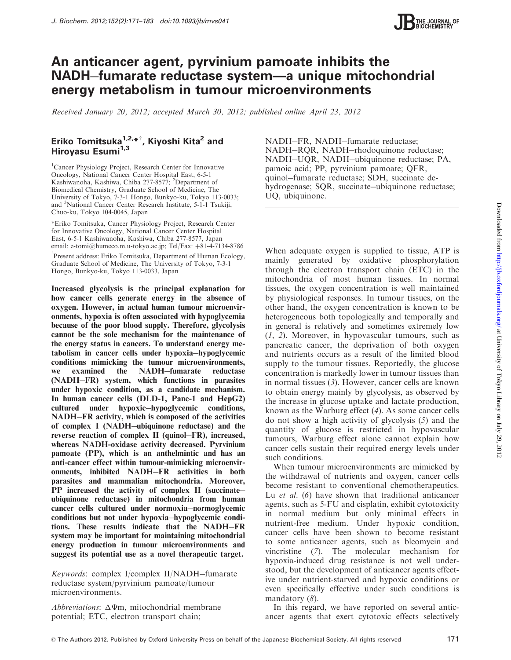

# An anticancer agent, pyrvinium pamoate inhibits the NADH-fumarate reductase system—a unique mitochondrial energy metabolism in tumour microenvironments

Received January 20, 2012; accepted March 30, 2012; published online April 23, 2012

# Eriko Tomitsuka<sup>1,2,\*†</sup>, Kiyoshi Kita<sup>2</sup> and Hiroyasu Esumi<sup>1,3</sup>

1 Cancer Physiology Project, Research Center for Innovative Oncology, National Cancer Center Hospital East, 6-5-1 Kashiwanoha, Kashiwa, Chiba 277-8577; <sup>2</sup>Department of Biomedical Chemistry, Graduate School of Medicine, The University of Tokyo, 7-3-1 Hongo, Bunkyo-ku, Tokyo 113-0033; and <sup>3</sup> National Cancer Center Research Institute, 5-1-1 Tsukiji, Chuo-ku, Tokyo 104-0045, Japan

\*Eriko Tomitsuka, Cancer Physiology Project, Research Center for Innovative Oncology, National Cancer Center Hospital East, 6-5-1 Kashiwanoha, Kashiwa, Chiba 277-8577, Japan email: e-tomi@humeco.m.u-tokyo.ac.jp; Tel/Fax: +81-4-7134-8786

<sup>†</sup> Present address: Eriko Tomitsuka, Department of Human Ecology, Graduate School of Medicine, The University of Tokyo, 7-3-1 Hongo, Bunkyo-ku, Tokyo 113-0033, Japan

Increased glycolysis is the principal explanation for how cancer cells generate energy in the absence of oxygen. However, in actual human tumour microenvironments, hypoxia is often associated with hypoglycemia because of the poor blood supply. Therefore, glycolysis cannot be the sole mechanism for the maintenance of the energy status in cancers. To understand energy metabolism in cancer cells under hypoxia-hypoglycemic conditions mimicking the tumour microenvironments, we examined the NADH-fumarate reductase (NADH-FR) system, which functions in parasites under hypoxic condition, as a candidate mechanism. In human cancer cells (DLD-1, Panc-1 and HepG2) cultured under hypoxic-hypoglycemic conditions, NADH-FR activity, which is composed of the activities of complex I (NADH-ubiquinone reductase) and the reverse reaction of complex II (quinol-FR), increased, whereas NADH-oxidase activity decreased. Pyrvinium pamoate (PP), which is an anthelmintic and has an anti-cancer effect within tumour-mimicking microenvironments, inhibited NADH-FR activities in both parasites and mammalian mitochondria. Moreover, PP increased the activity of complex II (succinateubiquinone reductase) in mitochondria from human cancer cells cultured under normoxia-normoglycemic conditions but not under hypoxia-hypoglycemic conditions. These results indicate that the NADH-FR system may be important for maintaining mitochondrial energy production in tumour microenvironments and suggest its potential use as a novel therapeutic target.

Keywords: complex I/complex II/NADH-fumarate reductase system/pyrvinium pamoate/tumour microenvironments.

 $Abbreviations: \Delta \Psi m$ , mitochondrial membrane potential; ETC, electron transport chain;

NADH-FR, NADH-fumarate reductase; NADH-RQR, NADH-rhodoquinone reductase; NADH-UQR, NADH-ubiquinone reductase; PA, pamoic acid; PP, pyrvinium pamoate; QFR, quinol-fumarate reductase; SDH, succinate dehydrogenase; SQR, succinate-ubiquinone reductase; UQ, ubiquinone.

When adequate oxygen is supplied to tissue, ATP is mainly generated by oxidative phosphorylation through the electron transport chain (ETC) in the mitochondria of most human tissues. In normal tissues, the oxygen concentration is well maintained by physiological responses. In tumour tissues, on the other hand, the oxygen concentration is known to be heterogeneous both topologically and temporally and in general is relatively and sometimes extremely low  $(1, 2)$  $(1, 2)$  $(1, 2)$  $(1, 2)$  $(1, 2)$ . Moreover, in hypovascular tumours, such as pancreatic cancer, the deprivation of both oxygen and nutrients occurs as a result of the limited blood supply to the tumour tissues. Reportedly, the glucose concentration is markedly lower in tumour tissues than in normal tissues ([3](#page-11-0)). However, cancer cells are known to obtain energy mainly by glycolysis, as observed by the increase in glucose uptake and lactate production, known as the Warburg effect ([4](#page-11-0)). As some cancer cells do not show a high activity of glycolysis ([5](#page-11-0)) and the quantity of glucose is restricted in hypovascular tumours, Warburg effect alone cannot explain how cancer cells sustain their required energy levels under such conditions.

When tumour microenvironments are mimicked by the withdrawal of nutrients and oxygen, cancer cells become resistant to conventional chemotherapeutics. Lu et al. ([6](#page-11-0)) have shown that traditional anticancer agents, such as 5-FU and cisplatin, exhibit cytotoxicity in normal medium but only minimal effects in nutrient-free medium. Under hypoxic condition, cancer cells have been shown to become resistant to some anticancer agents, such as bleomycin and vincristine ([7](#page-11-0)). The molecular mechanism for hypoxia-induced drug resistance is not well understood, but the development of anticancer agents effective under nutrient-starved and hypoxic conditions or even specifically effective under such conditions is mandatory ([8](#page-11-0)).

In this regard, we have reported on several anticancer agents that exert cytotoxic effects selectively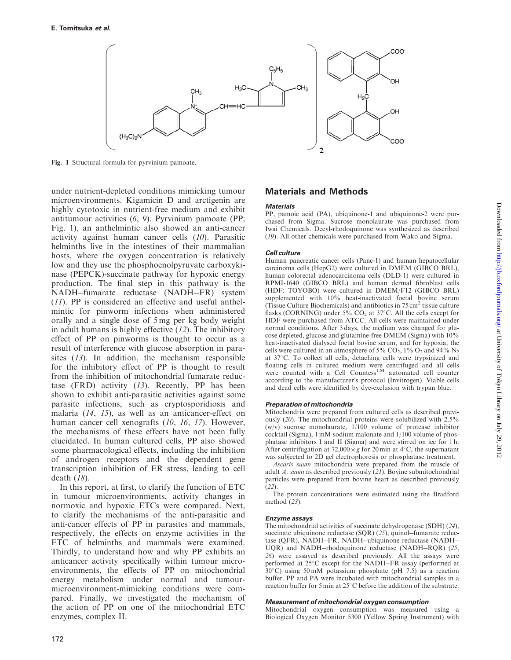

Fig. 1 Structural formula for pyrvinium pamoate.

under nutrient-depleted conditions mimicking tumour microenvironments. Kigamicin D and arctigenin are highly cytotoxic in nutrient-free medium and exhibit antitumour activities ([6](#page-11-0), [9](#page-11-0)). Pyrvinium pamoate (PP; Fig. 1), an anthelmintic also showed an anti-cancer activity against human cancer cells ([10](#page-11-0)). Parasitic helminths live in the intestines of their mammalian hosts, where the oxygen concentration is relatively low and they use the phosphoenolpyruvate carboxykinase (PEPCK)-succinate pathway for hypoxic energy production. The final step in this pathway is the NADH-fumarate reductase (NADH-FR) system ([11](#page-11-0)). PP is considered an effective and useful anthelmintic for pinworm infections when administered orally and a single dose of 5 mg per kg body weight in adult humans is highly effective ([12](#page-11-0)). The inhibitory effect of PP on pinworms is thought to occur as a result of interference with glucose absorption in parasites ([13](#page-11-0)). In addition, the mechanism responsible for the inhibitory effect of PP is thought to result from the inhibition of mitochondrial fumarate reductase (FRD) activity  $(13)$  $(13)$  $(13)$ . Recently, PP has been shown to exhibit anti-parasitic activities against some parasite infections, such as cryptosporidiosis and malaria ([14](#page-11-0), [15](#page-11-0)), as well as an anticancer-effect on human cancer cell xenografts ([10](#page-11-0), [16](#page-11-0), [17](#page-11-0)). However, the mechanisms of these effects have not been fully elucidated. In human cultured cells, PP also showed some pharmacological effects, including the inhibition of androgen receptors and the dependent gene transcription inhibition of ER stress, leading to cell death ([18](#page-11-0)).

In this report, at first, to clarify the function of ETC in tumour microenvironments, activity changes in normoxic and hypoxic ETCs were compared. Next, to clarify the mechanisms of the anti-parasitic and anti-cancer effects of PP in parasites and mammals, respectively, the effects on enzyme activities in the ETC of helminths and mammals were examined. Thirdly, to understand how and why PP exhibits an anticancer activity specifically within tumour microenvironments, the effects of PP on mitochondrial energy metabolism under normal and tumourmicroenvironment-mimicking conditions were compared. Finally, we investigated the mechanism of the action of PP on one of the mitochondrial ETC enzymes, complex II.

### Materials and Methods

#### **Materials**

PP, pamoic acid (PA), ubiquinone-1 and ubiquinone-2 were purchased from Sigma. Sucrose monolaurate was purchased from Iwai Chemicals. Decyl-rhodoquinone was synthesized as described ([19](#page-11-0)). All other chemicals were purchased from Wako and Sigma.

#### Cell culture

Human pancreatic cancer cells (Panc-1) and human hepatocellular carcinoma cells (HepG2) were cultured in DMEM (GIBCO BRL), human colorectal adenocarcinoma cells (DLD-1) were cultured in RPMI-1640 (GIBCO BRL) and human dermal fibroblast cells (HDF: TOYOBO) were cultured in DMEM/F12 (GIBCO BRL) supplemented with 10% heat-inactivated foetal bovine serum (Tissue Culture Biochemicals) and antibiotics in  $75 \text{ cm}^2$  tissue culture flasks (CORNING) under 5% CO<sub>2</sub> at 37°C. All the cells except for HDF were purchased from ATCC. All cells were maintained under normal conditions. After 3 days, the medium was changed for glucose depleted, glucose and glutamine-free DMEM (Sigma) with 10% heat-inactivated dialysed foetal bovine serum, and for hypoxia, the cells were cultured in an atmosphere of 5%  $CO_2$ , 1%  $O_2$  and 94%  $N_2$ at 37°C. To collect all cells, detaching cells were trypsinized and floating cells in cultured medium were centrifuged and all cells<br>were counted with a Cell Countess<sup>TM</sup> automated cell counter according to the manufacturer's protocol (Invitrogen). Viable cells and dead cells were identified by dye-exclusion with trypan blue.

#### Preparation of mitochondria

Mitochondria were prepared from cultured cells as described previously ([20](#page-11-0)). The mitochondrial proteins were solubilized with 2.5%  $(w/v)$  sucrose monolaurate,  $1/100$  volume of protease inhibitor cocktail (Sigma), 1 mM sodium malonate and 1/100 volume of phosphatase inhibitors I and II (Sigma) and were stirred on ice for 1 h. After centrifugation at  $72,000 \times g$  for 20 min at 4°C, the supernatant was subjected to 2D gel electrophoresis or phosphatase treatment.

Ascaris suum mitochondria were prepared from the muscle of adult A. suum as described previously ([21](#page-11-0)). Bovine submitochondrial particles were prepared from bovine heart as described previously  $(22)$  $(22)$  $(22)$ .

The protein concentrations were estimated using the Bradford method ([23](#page-12-0)).

#### Enzyme assays

The mitochondrial activities of succinate dehydrogenase (SDH) ([24](#page-12-0)), succinate ubiquinone reductase (SQR) ([25](#page-12-0)), quinol-fumarate reductase (QFR), NADH-FR, NADH-ubiquinone reductase (NADH- UQR) and NADH-rhodoquinone reductase (NADH-RQR) ([25](#page-12-0), [26](#page-12-0)) were assayed as described previously. All the assays were performed at 25°C except for the NADH-FR assay (performed at 30-C) using 50 mM potassium phosphate (pH 7.5) as a reaction buffer. PP and PA were incubated with mitochondrial samples in a reaction buffer for 5 min at 25°C before the addition of the substrate.

#### Measurement of mitochondrial oxygen consumption

Mitochondrial oxygen consumption was measured using a Biological Oxygen Monitor 5300 (Yellow Spring Instrument) with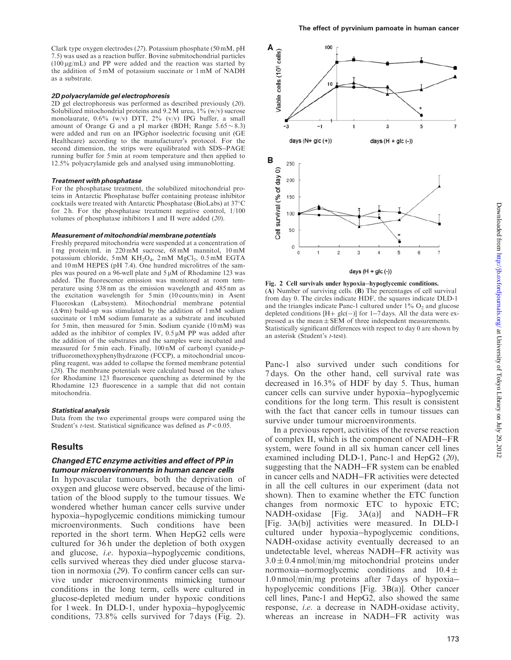Clark type oxygen electrodes ([27](#page-12-0)). Potassium phosphate (50 mM, pH 7.5) was used as a reaction buffer. Bovine submitochondrial particles  $(100 \,\mu\text{g/mL})$  and PP were added and the reaction was started by the addition of 5 mM of potassium succinate or 1 mM of NADH as a substrate.

#### 2D polyacrylamide gel electrophoresis

2D gel electrophoresis was performed as described previously ([20](#page-11-0)). Solubilized mitochondrial proteins and  $9.2 M$  urea,  $1\%$  (w/v) sucrose monolaurate,  $0.6\%$  (w/v) DTT,  $2\%$  (v/v) IPG buffer, a small amount of Orange G and a pI marker (BDH; Range  $5.65 \sim 8.3$ ) were added and run on an IPGphor isoelectric focusing unit (GE Healthcare) according to the manufacturer's protocol. For the second dimension, the strips were equilibrated with SDS-PAGE running buffer for 5 min at room temperature and then applied to 12.5% polyacrylamide gels and analysed using immunoblotting.

#### Treatment with phosphatase

For the phosphatase treatment, the solubilized mitochondrial proteins in Antarctic Phosphatase buffer containing protease inhibitor cocktails were treated with Antarctic Phosphatase (BioLabs) at 37-C for 2h. For the phosphatase treatment negative control,  $1/100$ volumes of phosphatase inhibitors I and II were added ([20](#page-11-0)).

#### Measurement of mitochondrial membrane potentials

Freshly prepared mitochondria were suspended at a concentration of 1 mg protein/mL in 220 mM sucrose, 68 mM mannitol, 10 mM potassium chloride, 5 mM KH<sub>2</sub>O<sub>4</sub>, 2 mM MgCl<sub>2</sub>, 0.5 mM EGTA and 10 mM HEPES (pH 7.4). One hundred microlitres of the samples was poured on a  $96$ -well plate and  $5 \mu M$  of Rhodamine 123 was added. The fluorescence emission was monitored at room temperature using 538 nm as the emission wavelength and 485 nm as the excitation wavelength for 5 min (10 counts/min) in Asent Fluoroskan (Labsystem). Mitochondrial membrane potential  $(\Delta \Psi m)$  build-up was stimulated by the addition of 1 mM sodium succinate or 1 mM sodium fumarate as a substrate and incubated for 5 min, then measured for 5 min. Sodium cyanide (10 mM) was added as the inhibitor of complex IV,  $0.5 \mu M$  PP was added after the addition of the substrates and the samples were incubated and measured for 5 min each. Finally, 100 nM of carbonyl cyanide-ptrifluoromethoxyphenylhydrazone (FCCP), a mitochondrial uncoupling reagent, was added to collapse the formed membrane potential ([28](#page-12-0)). The membrane potentials were calculated based on the values for Rhodamine 123 fluorescence quenching as determined by the Rhodamine 123 fluorescence in a sample that did not contain mitochondria.

#### Statistical analysis

Data from the two experimental groups were compared using the Student's t-test. Statistical significance was defined as  $P<0.05$ .

### **Results**

#### Changed ETC enzyme activities and effect of PP in tumour microenvironments in human cancer cells

In hypovascular tumours, both the deprivation of oxygen and glucose were observed, because of the limitation of the blood supply to the tumour tissues. We wondered whether human cancer cells survive under hypoxia-hypoglycemic conditions mimicking tumour microenvironments. Such conditions have been reported in the short term. When HepG2 cells were cultured for 36 h under the depletion of both oxygen and glucose, i.e. hypoxia-hypoglycemic conditions, cells survived whereas they died under glucose starvation in normoxia ([29](#page-12-0)). To confirm cancer cells can survive under microenvironments mimicking tumour conditions in the long term, cells were cultured in glucose-depleted medium under hypoxic conditions for 1 week. In DLD-1, under hypoxia-hypoglycemic conditions, 73.8% cells survived for 7 days (Fig. 2).



Fig. 2 Cell survivals under hypoxia-hypoglycemic conditions. (A) Number of surviving cells. (B) The percentages of cell survival from day 0. The circles indicate HDF, the squares indicate DLD-1 and the triangles indicate Panc-1 cultured under  $1\%$  O<sub>2</sub> and glucose depleted conditions  $[H + glc(-)]$  for 1-7 days. All the data were expressed as the mean  $\pm$  SEM of three independent measurements. Statistically significant differences with respect to day 0 are shown by an asterisk (Student's t-test).

Panc-1 also survived under such conditions for 7 days. On the other hand, cell survival rate was decreased in 16.3% of HDF by day 5. Thus, human cancer cells can survive under hypoxia-hypoglycemic conditions for the long term. This result is consistent with the fact that cancer cells in tumour tissues can survive under tumour microenvironments.

In a previous report, activities of the reverse reaction of complex II, which is the component of NADH-FR system, were found in all six human cancer cell lines examined including DLD-1, Panc-1 and HepG2 ([20](#page-11-0)), suggesting that the NADH-FR system can be enabled in cancer cells and NADH-FR activities were detected in all the cell cultures in our experiment (data not shown). Then to examine whether the ETC function changes from normoxic ETC to hypoxic ETC; NADH-oxidase [\[Fig. 3A](#page-3-0)(a)] and NADH-FR [[Fig. 3](#page-3-0)A(b)] activities were measured. In DLD-1 cultured under hypoxia-hypoglycemic conditions, NADH-oxidase activity eventually decreased to an undetectable level, whereas NADH-FR activity was  $3.0 \pm 0.4$  nmol/min/mg mitochondrial proteins under normoxia-normoglycemic conditions and 10.4 1.0 nmol/min/mg proteins after 7 days of hypoxia hypoglycemic conditions [[Fig. 3B](#page-3-0)(a)]. Other cancer cell lines, Panc-1 and HepG2, also showed the same response, i.e. a decrease in NADH-oxidase activity, whereas an increase in NADH-FR activity was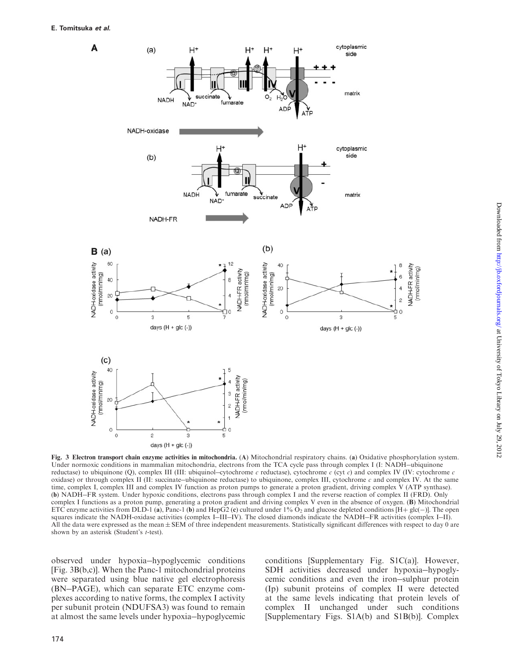<span id="page-3-0"></span>

Downloaded from http://jb.oxfordjournals.org/ at University of Tokyo Library on July 29, 2012 Downloaded from <http://jb.oxfordjournals.org/> at University of Tokyo Library on July 29, 2012

Fig. 3 Electron transport chain enzyme activities in mitochondria. (A) Mitochondrial respiratory chains. (a) Oxidative phosphorylation system. Under normoxic conditions in mammalian mitochondria, electrons from the TCA cycle pass through complex I (I: NADH-ubiquinone reductase) to ubiquinone (Q), complex III (III: ubiquinol-cytochrome c reductase), cytochrome c (cyt c) and complex IV (IV: cytochrome c oxidase) or through complex II (II: succinate–ubiquinone reductase) to ubiquinone, complex III, cytochrome c and complex IV. At the same time, complex I, complex III and complex IV function as proton pumps to generate a proton gradient, driving complex V (ATP synthase). (b) NADH-FR system. Under hypoxic conditions, electrons pass through complex I and the reverse reaction of complex II (FRD). Only complex I functions as a proton pump, generating a proton gradient and driving complex V even in the absence of oxygen. (B) Mitochondrial ETC enzyme activities from DLD-1 (a), Panc-1 (b) and HepG2 (c) cultured under 1%  $O_2$  and glucose depleted conditions [H+ glc(-)]. The open squares indicate the NADH-oxidase activities (complex I-III-IV). The closed diamonds indicate the NADH-FR activities (complex I-II). All the data were expressed as the mean  $\pm$  SEM of three independent measurements. Statistically significant differences with respect to day 0 are shown by an asterisk (Student's t-test).

observed under hypoxia-hypoglycemic conditions [Fig. 3B(b,c)]. When the Panc-1 mitochondrial proteins were separated using blue native gel electrophoresis (BN-PAGE), which can separate ETC enzyme complexes according to native forms, the complex I activity per subunit protein (NDUFSA3) was found to remain at almost the same levels under hypoxia-hypoglycemic conditions [Supplementary Fig. S1C(a)]. However, SDH activities decreased under hypoxia-hypoglycemic conditions and even the iron-sulphur protein (Ip) subunit proteins of complex II were detected at the same levels indicating that protein levels of complex II unchanged under such conditions [Supplementary Figs. S1A(b) and S1B(b)]. Complex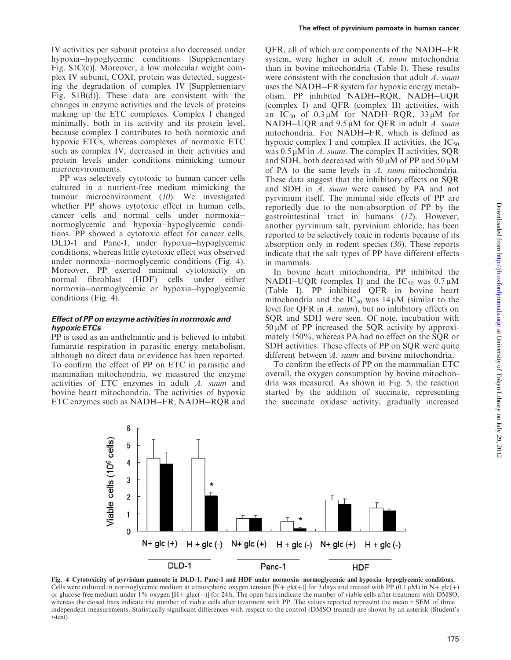IV activities per subunit proteins also decreased under hypoxia-hypoglycemic conditions [Supplementary Fig. S1C(c)]. Moreover, a low molecular weight complex IV subunit, COXI, protein was detected, suggesting the degradation of complex IV [Supplementary Fig. S1B(d)]. These data are consistent with the changes in enzyme activities and the levels of proteins making up the ETC complexes. Complex I changed minimally, both in its activity and its protein level, because complex I contributes to both normoxic and hypoxic ETCs, whereas complexes of normoxic ETC such as complex IV, decreased in their activities and protein levels under conditions mimicking tumour microenvironments.

PP was selectively cytotoxic to human cancer cells cultured in a nutrient-free medium mimicking the tumour microenvironment ([10](#page-11-0)). We investigated whether PP shows cytotoxic effect in human cells, cancer cells and normal cells under normoxia normoglycemic and hypoxia-hypoglycemic conditions. PP showed a cytotoxic effect for cancer cells, DLD-1 and Panc-1, under hypoxia-hypoglycemic conditions, whereas little cytotoxic effect was observed under normoxia-normoglycemic conditions (Fig. 4). Moreover, PP exerted minimal cytotoxicity on normal fibroblast (HDF) cells under either normoxia-normoglycemic or hypoxia-hypoglycemic conditions (Fig. 4).

### Effect of PP on enzyme activities in normoxic and hypoxic ETCs

PP is used as an anthelmintic and is believed to inhibit fumarate respiration in parasitic energy metabolism, although no direct data or evidence has been reported. To confirm the effect of PP on ETC in parasitic and mammalian mitochondria, we measured the enzyme activities of ETC enzymes in adult A. suum and bovine heart mitochondria. The activities of hypoxic ETC enzymes such as NADH-FR, NADH-RQR and

QFR, all of which are components of the NADH-FR system, were higher in adult A. suum mitochondria than in bovine mitochondria ([Table I\)](#page-5-0). These results were consistent with the conclusion that adult A. suum uses the NADH-FR system for hypoxic energy metabolism. PP inhibited NADH-RQR, NADH-UQR (complex I) and QFR (complex II) activities, with an  $IC_{50}$  of 0.3  $\mu$ M for NADH-RQR, 33  $\mu$ M for NADH-UQR and  $9.5 \mu M$  for QFR in adult A. suum mitochondria. For NADH-FR, which is defined as hypoxic complex I and complex II activities, the  $IC_{50}$ was  $0.5 \mu M$  in A. suum. The complex II activities, SQR and SDH, both decreased with 50  $\mu$ M of PP and 50  $\mu$ M of PA to the same levels in A. suum mitochondria. These data suggest that the inhibitory effects on SQR and SDH in A. suum were caused by PA and not pyrvinium itself. The minimal side effects of PP are reportedly due to the non-absorption of PP by the gastrointestinal tract in humans ([12](#page-11-0)). However, another pyrvinium salt, pyrvinium chloride, has been reported to be selectively toxic in rodents because of its absorption only in rodent species ([30](#page-12-0)). These reports indicate that the salt types of PP have different effects in mammals.

In bovine heart mitochondria, PP inhibited the NADH-UQR (complex I) and the  $IC_{50}$  was 0.7  $\mu$ M [\(Table I\)](#page-5-0). PP inhibited QFR in bovine heart mitochondria and the  $IC_{50}$  was 14  $\mu$ M (similar to the level for QFR in A. suum), but no inhibitory effects on SQR and SDH were seen. Of note, incubation with  $50 \mu M$  of PP increased the SQR activity by approximately 150%, whereas PA had no effect on the SQR or SDH activities. These effects of PP on SQR were quite different between A. suum and bovine mitochondria.

To confirm the effects of PP on the mammalian ETC overall, the oxygen consumption by bovine mitochondria was measured. As shown in [Fig. 5,](#page-5-0) the reaction started by the addition of succinate, representing the succinate oxidase activity, gradually increased



Fig. 4 Cytotoxicity of pyrvinium pamoate in DLD-1, Panc-1 and HDF under normoxia-normoglycemic and hypoxia-hypoglycemic conditions. Cells were cultured in normoglycemic medium at atmospheric oxygen tension  $[N+ \text{glc}(+)]$  for 3 days and treated with PP (0.1  $\mu$ M) in N + glc(+) or glucose-free medium under  $1\%$  oxygen  $[H + gluc(-)]$  for 24 h. The open bars indicate the number of viable cells after treatment with DMSO, whereas the closed bars indicate the number of viable cells after treatment with PP. The values reported represent the mean  $\pm$  SEM of three independent measurements. Statistically significant differences with respect to the control (DMSO treated) are shown by an asterisk (Student's t-test).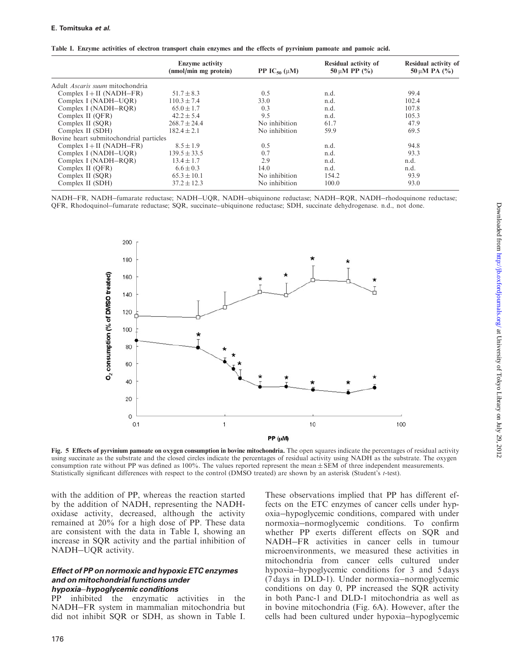<span id="page-5-0"></span>

| Table I. Enzyme activities of electron transport chain enzymes and the effects of pyrvinium pamoate and pamoic acid. |  |  |
|----------------------------------------------------------------------------------------------------------------------|--|--|
|                                                                                                                      |  |  |

|                                         | <b>Enzyme activity</b><br>(nmol/min mg protein) | PP IC <sub>50</sub> ( $\mu$ M) | <b>Residual activity of</b><br>$50 \mu M PP (%)$ | <b>Residual activity of</b><br>$50 \mu M$ PA $(\% )$ |
|-----------------------------------------|-------------------------------------------------|--------------------------------|--------------------------------------------------|------------------------------------------------------|
| Adult <i>Ascaris suum</i> mitochondria  |                                                 |                                |                                                  |                                                      |
| Complex $I + II$ (NADH-FR)              | $51.7 \pm 8.3$                                  | 0.5                            | n.d.                                             | 99.4                                                 |
| Complex I (NADH-UQR)                    | $110.3 \pm 7.4$                                 | 33.0                           | n.d.                                             | 102.4                                                |
| Complex I (NADH-ROR)                    | $65.0 \pm 1.7$                                  | 0.3                            | n.d.                                             | 107.8                                                |
| Complex II (OFR)                        | $42.2 \pm 5.4$                                  | 9.5                            | n.d.                                             | 105.3                                                |
| Complex II (SOR)                        | $268.7 \pm 24.4$                                | No inhibition                  | 61.7                                             | 47.9                                                 |
| Complex II (SDH)                        | $182.4 \pm 2.1$                                 | No inhibition                  | 59.9                                             | 69.5                                                 |
| Bovine heart submitochondrial particles |                                                 |                                |                                                  |                                                      |
| Complex $I + II$ (NADH-FR)              | $8.5 \pm 1.9$                                   | 0.5                            | n.d.                                             | 94.8                                                 |
| Complex I (NADH-UOR)                    | $139.5 \pm 33.5$                                | 0.7                            | n.d.                                             | 93.3                                                 |
| Complex I (NADH-ROR)                    | $13.4 \pm 1.7$                                  | 2.9                            | n.d.                                             | n.d.                                                 |
| Complex II (QFR)                        | $6.6 \pm 0.3$                                   | 14.0                           | n.d.                                             | n.d.                                                 |
| Complex II (SQR)                        | $65.3 \pm 10.1$                                 | No inhibition                  | 154.2                                            | 93.9                                                 |
| Complex II (SDH)                        | $37.2 \pm 12.3$                                 | No inhibition                  | 100.0                                            | 93.0                                                 |

NADH–FR, NADH–fumarate reductase; NADH–UQR, NADH–ubiquinone reductase; NADH–RQR, NADH–rhodoquinone reductase; QFR, Rhodoquinol-fumarate reductase; SQR, succinate-ubiquinone reductase; SDH, succinate dehydrogenase. n.d., not done.



Fig. 5 Effects of pyrvinium pamoate on oxygen consumption in bovine mitochondria. The open squares indicate the percentages of residual activity using succinate as the substrate and the closed circles indicate the percentages of residual activity using NADH as the substrate. The oxygen consumption rate without PP was defined as  $100\%$ . The values reported represent the mean  $\pm$  SEM of three independent measurements. Statistically significant differences with respect to the control (DMSO treated) are shown by an asterisk (Student's t-test).

with the addition of PP, whereas the reaction started by the addition of NADH, representing the NADHoxidase activity, decreased, although the activity remained at 20% for a high dose of PP. These data are consistent with the data in Table I, showing an increase in SQR activity and the partial inhibition of NADH-UQR activity.

### Effect of PP on normoxic and hypoxic ETC enzymes and on mitochondrial functions under hypoxia-hypoglycemic conditions

PP inhibited the enzymatic activities in the NADH-FR system in mammalian mitochondria but did not inhibit SQR or SDH, as shown in Table I.

These observations implied that PP has different effects on the ETC enzymes of cancer cells under hypoxia-hypoglycemic conditions, compared with under normoxia-normoglycemic conditions. To confirm whether PP exerts different effects on SQR and NADH-FR activities in cancer cells in tumour microenvironments, we measured these activities in mitochondria from cancer cells cultured under hypoxia-hypoglycemic conditions for 3 and 5 days (7 days in DLD-1). Under normoxia-normoglycemic conditions on day 0, PP increased the SQR activity in both Panc-1 and DLD-1 mitochondria as well as in bovine mitochondria [\(Fig. 6A](#page-6-0)). However, after the cells had been cultured under hypoxia-hypoglycemic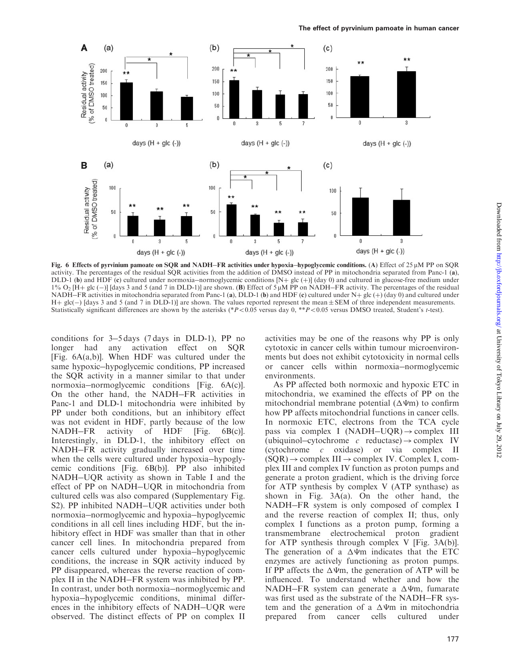<span id="page-6-0"></span>

Fig. 6 Effects of pyrvinium pamoate on SQR and NADH–FR activities under hypoxia-hypoglycemic conditions. (A) Effect of 25 µM PP on SQR activity. The percentages of the residual SQR activities from the addition of DMSO instead of PP in mitochondria separated from Panc-1 (a), DLD-1 (b) and HDF (c) cultured under normoxia–normoglycemic conditions [N+ glc (+)] (day 0) and cultured in glucose-free medium under  $1\%$  O<sub>2</sub> [H+ glc (-)] [days 3 and 5 (and 7 in DLD-1)] are shown. (**B**) Effect of 5  $\mu$ M PP on NADH-FR activity. The percentages of the residual NADH-FR activities in mitochondria separated from Panc-1 (a), DLD-1 (b) and HDF (c) cultured under N+ glc (+) (day 0) and cultured under  $H + glc(-)$  [days 3 and 5 (and 7 in DLD-1)] are shown. The values reported represent the mean  $\pm$  SEM of three independent measurements. Statistically significant differences are shown by the asterisks (\*P < 0.05 versus day 0, \*\*P < 0.05 versus DMSO treated, Student's t-test).

conditions for 3-5 days (7 days in DLD-1), PP no longer had any activation effect on SQR [Fig. 6A(a,b)]. When HDF was cultured under the same hypoxic-hypoglycemic conditions, PP increased the SQR activity in a manner similar to that under normoxia-normoglycemic conditions [Fig. 6A(c)]. On the other hand, the NADH-FR activities in Panc-1 and DLD-1 mitochondria were inhibited by PP under both conditions, but an inhibitory effect was not evident in HDF, partly because of the low<br>NADH-FR activity of HDF [Fig. 6B(c)]. NADH-FR activity of HDF [Fig. 6B(c)]. Interestingly, in DLD-1, the inhibitory effect on NADH-FR activity gradually increased over time when the cells were cultured under hypoxia-hypoglycemic conditions [Fig. 6B(b)]. PP also inhibited NADH-UQR activity as shown in [Table I](#page-5-0) and the effect of PP on NADH-UQR in mitochondria from cultured cells was also compared (Supplementary Fig. S2). PP inhibited NADH-UQR activities under both normoxia-normoglycemic and hypoxia-hypoglycemic conditions in all cell lines including HDF, but the inhibitory effect in HDF was smaller than that in other cancer cell lines. In mitochondria prepared from cancer cells cultured under hypoxia-hypoglycemic conditions, the increase in SQR activity induced by PP disappeared, whereas the reverse reaction of complex II in the NADH-FR system was inhibited by PP. In contrast, under both normoxia-normoglycemic and hypoxia-hypoglycemic conditions, minimal differences in the inhibitory effects of NADH-UQR were observed. The distinct effects of PP on complex II

activities may be one of the reasons why PP is only cytotoxic in cancer cells within tumour microenvironments but does not exhibit cytotoxicity in normal cells or cancer cells within normoxia-normoglycemic environments.

As PP affected both normoxic and hypoxic ETC in mitochondria, we examined the effects of PP on the mitochondrial membrane potential  $(\Delta \Psi m)$  to confirm how PP affects mitochondrial functions in cancer cells. In normoxic ETC, electrons from the TCA cycle pass via complex I (NADH-UQR)  $\rightarrow$  complex III (ubiquinol-cytochrome c reductase)  $\rightarrow$  complex IV (cytochrome c oxidase) or via complex II  $(SQR) \rightarrow complex III \rightarrow complex IV$ . Complex I, complex III and complex IV function as proton pumps and generate a proton gradient, which is the driving force for ATP synthesis by complex V (ATP synthase) as shown in [Fig. 3A](#page-3-0)(a). On the other hand, the NADH-FR system is only composed of complex I and the reverse reaction of complex II; thus, only complex I functions as a proton pump, forming a transmembrane electrochemical proton gradient for ATP synthesis through complex V [\[Fig. 3](#page-3-0)A(b)]. The generation of a  $\Delta \Psi$ m indicates that the ETC enzymes are actively functioning as proton pumps. If PP affects the  $\Delta \Psi$ m, the generation of ATP will be influenced. To understand whether and how the NADH-FR system can generate a  $\Delta \Psi m$ , fumarate was first used as the substrate of the NADH-FR system and the generation of a  $\Delta \Psi$ m in mitochondria prepared from cancer cells cultured under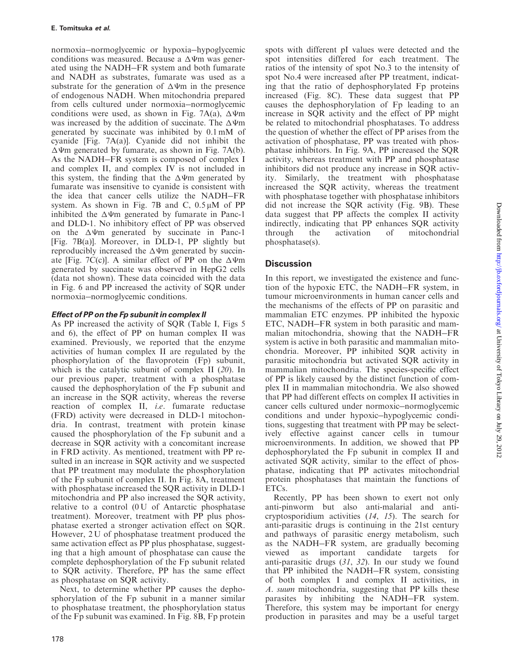normoxia-normoglycemic or hypoxia-hypoglycemic conditions was measured. Because a  $\Delta \Psi$ m was generated using the NADH-FR system and both fumarate and NADH as substrates, fumarate was used as a substrate for the generation of  $\Delta \Psi$ m in the presence of endogenous NADH. When mitochondria prepared from cells cultured under normoxia-normoglycemic conditions were used, as shown in [Fig. 7A](#page-8-0)(a),  $\Delta \Psi$ m was increased by the addition of succinate. The  $\Delta \Psi$ m generated by succinate was inhibited by 0.1 mM of cyanide [\[Fig. 7A](#page-8-0)(a)]. Cyanide did not inhibit the  $\Delta \Psi$ m generated by fumarate, as shown in [Fig. 7A](#page-8-0)(b). As the NADH-FR system is composed of complex I and complex II, and complex IV is not included in this system, the finding that the  $\Delta \Psi$ m generated by fumarate was insensitive to cyanide is consistent with the idea that cancer cells utilize the NADH-FR system. As shown in [Fig. 7B](#page-8-0) and C,  $0.5 \mu M$  of PP inhibited the  $\Delta \Psi$ m generated by fumarate in Panc-1 and DLD-1. No inhibitory effect of PP was observed on the  $\Delta \Psi$ m generated by succinate in Panc-1 [\[Fig. 7B](#page-8-0)(a)]. Moreover, in DLD-1, PP slightly but reproducibly increased the  $\Delta \Psi$ m generated by succin-ate [\[Fig. 7](#page-8-0)C(c)]. A similar effect of PP on the  $\Delta \Psi$ m generated by succinate was observed in HepG2 cells (data not shown). These data coincided with the data in [Fig. 6](#page-6-0) and PP increased the activity of SQR under normoxia-normoglycemic conditions.

### Effect of PP on the Fp subunit in complex II

As PP increased the activity of SQR ([Table I, Figs 5](#page-5-0) and [6](#page-6-0)), the effect of PP on human complex II was examined. Previously, we reported that the enzyme activities of human complex II are regulated by the phosphorylation of the flavoprotein (Fp) subunit, which is the catalytic subunit of complex II ([20](#page-11-0)). In our previous paper, treatment with a phosphatase caused the dephosphorylation of the Fp subunit and an increase in the SQR activity, whereas the reverse reaction of complex II, i.e. fumarate reductase (FRD) activity were decreased in DLD-1 mitochondria. In contrast, treatment with protein kinase caused the phosphorylation of the Fp subunit and a decrease in SQR activity with a concomitant increase in FRD activity. As mentioned, treatment with PP resulted in an increase in SQR activity and we suspected that PP treatment may modulate the phosphorylation of the Fp subunit of complex II. In [Fig. 8A](#page-9-0), treatment with phosphatase increased the SQR activity in DLD-1 mitochondria and PP also increased the SQR activity, relative to a control  $(0 U$  of Antarctic phosphatase treatment). Moreover, treatment with PP plus phosphatase exerted a stronger activation effect on SQR. However, 2 U of phosphatase treatment produced the same activation effect as PP plus phosphatase, suggesting that a high amount of phosphatase can cause the complete dephosphorylation of the Fp subunit related to SQR activity. Therefore, PP has the same effect as phosphatase on SQR activity.

Next, to determine whether PP causes the dephosphorylation of the Fp subunit in a manner similar to phosphatase treatment, the phosphorylation status of the Fp subunit was examined. In [Fig. 8](#page-9-0)B, Fp protein

spots with different pI values were detected and the spot intensities differed for each treatment. The ratios of the intensity of spot No.3 to the intensity of spot No.4 were increased after PP treatment, indicating that the ratio of dephosphorylated Fp proteins increased [\(Fig. 8](#page-9-0)C). These data suggest that PP causes the dephosphorylation of Fp leading to an increase in SQR activity and the effect of PP might be related to mitochondrial phosphatases. To address the question of whether the effect of PP arises from the activation of phosphatase, PP was treated with phosphatase inhibitors. In [Fig. 9](#page-9-0)A, PP increased the SQR activity, whereas treatment with PP and phosphatase inhibitors did not produce any increase in SQR activity. Similarly, the treatment with phosphatase increased the SQR activity, whereas the treatment with phosphatase together with phosphatase inhibitors did not increase the SQR activity [\(Fig. 9B](#page-9-0)). These data suggest that PP affects the complex II activity indirectly, indicating that PP enhances SQR activity through the activation of mitochondrial phosphatase(s).

# **Discussion**

In this report, we investigated the existence and function of the hypoxic ETC, the NADH-FR system, in tumour microenvironments in human cancer cells and the mechanisms of the effects of PP on parasitic and mammalian ETC enzymes. PP inhibited the hypoxic ETC, NADH-FR system in both parasitic and mammalian mitochondria, showing that the NADH-FR system is active in both parasitic and mammalian mitochondria. Moreover, PP inhibited SQR activity in parasitic mitochondria but activated SQR activity in mammalian mitochondria. The species-specific effect of PP is likely caused by the distinct function of complex II in mammalian mitochondria. We also showed that PP had different effects on complex II activities in cancer cells cultured under normoxic-normoglycemic conditions and under hypoxic-hypoglycemic conditions, suggesting that treatment with PP may be selectively effective against cancer cells in tumour microenvironments. In addition, we showed that PP dephosphorylated the Fp subunit in complex II and activated SQR activity, similar to the effect of phosphatase, indicating that PP activates mitochondrial protein phosphatases that maintain the functions of ETCs.

Recently, PP has been shown to exert not only anti-pinworm but also anti-malarial and anticryptosporidium activities ([14](#page-11-0), [15](#page-11-0)). The search for anti-parasitic drugs is continuing in the 21st century and pathways of parasitic energy metabolism, such as the NADH-FR system, are gradually becoming viewed as important candidate targets for anti-parasitic drugs ([31](#page-12-0), [32](#page-12-0)). In our study we found that PP inhibited the NADH-FR system, consisting of both complex I and complex II activities, in A. suum mitochondria, suggesting that PP kills these parasites by inhibiting the NADH-FR system. Therefore, this system may be important for energy production in parasites and may be a useful target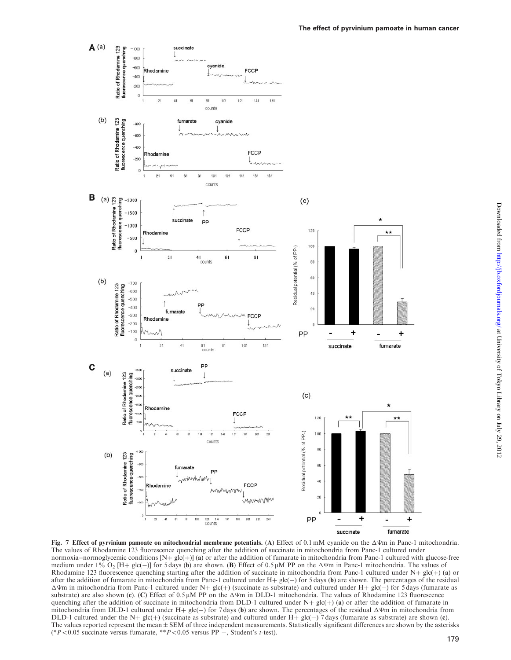<span id="page-8-0"></span>

Fig. 7 Effect of pyrvinium pamoate on mitochondrial membrane potentials. (A) Effect of 0.1 mM cyanide on the  $\Delta \Psi$ m in Panc-1 mitochondria. The values of Rhodamine 123 fluorescence quenching after the addition of succinate in mitochondria from Panc-1 cultured under normoxia-normoglycemic conditions  $[N + glc(+)]$  (a) or after the addition of fumarate in mitochondria from Panc-1 cultured with glucose-free medium under  $1\%$  O<sub>2</sub> [H + glc(-)] for 5 days (b) are shown. (B) Effect of 0.5  $\mu$ M PP on the  $\Delta \Psi$ m in Panc-1 mitochondria. The values of Rhodamine 123 fluorescence quenching starting after the addition of succinate in mitochondria from Panc-1 cultured under N+  $glc(+)$  (a) or after the addition of fumarate in mitochondria from Panc-1 cultured under  $H + glc(-)$  for 5 days (b) are shown. The percentages of the residual  $\Delta \Psi$ m in mitochondria from Panc-1 cultured under N+ glc(+) (succinate as substrate) and cultured under H+ glc(-) for 5 days (fumarate as substrate) are also shown (c). (C) Effect of 0.5  $\mu$ M PP on the  $\Delta \Psi$ m in DLD-1 mitochondria. The values of Rhodamine 123 fluorescence quenching after the addition of succinate in mitochondria from DLD-1 cultured under  $N + glc(+)$  (a) or after the addition of fumarate in mitochondria from DLD-1 cultured under H+ glc(-) for 7 days (b) are shown. The percentages of the residual  $\Delta \Psi$ m in mitochondria from DLD-1 cultured under the N+ glc(+) (succinate as substrate) and cultured under H+ glc(-) 7 days (fumarate as substrate) are shown (c). The values reported represent the mean  $\pm$  SEM of three independent measurements. Statistically significant differences are shown by the asterisks (\* $P < 0.05$  succinate versus fumarate, \*\* $P < 0.05$  versus PP –, Student's t-test).

The effect of pyrvinium pamoate in human cancer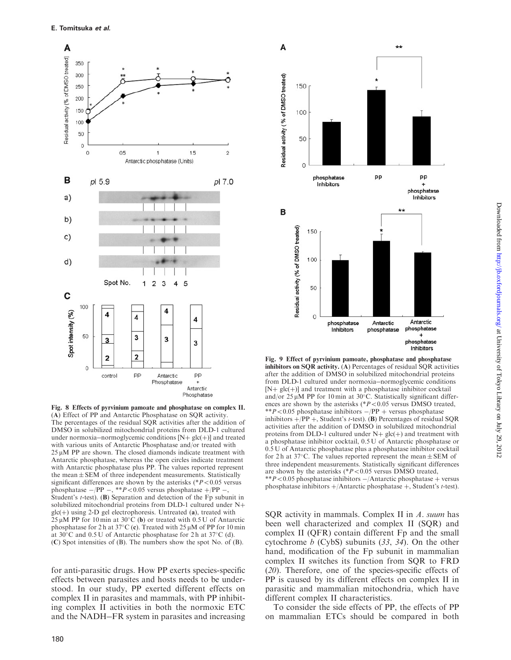<span id="page-9-0"></span>

Fig. 8 Effects of pyrvinium pamoate and phosphatase on complex II. (A) Effect of PP and Antarctic Phosphatase on SQR activity. The percentages of the residual SQR activities after the addition of DMSO in solubilized mitochondrial proteins from DLD-1 cultured under normoxia--normoglycemic conditions  $[N + glc(+)]$  and treated with various units of Antarctic Phosphatase and/or treated with  $25 \mu M$  PP are shown. The closed diamonds indicate treatment with Antarctic phosphatase, whereas the open circles indicate treatment with Antarctic phosphatase plus PP. The values reported represent the mean  $\pm$  SEM of three independent measurements. Statistically significant differences are shown by the asterisks ( $P < 0.05$  versus phosphatase  $-$ /PP –, \*\*P < 0.05 versus phosphatase +/PP – Student's *t*-test). (B) Separation and detection of the Fp subunit in solubilized mitochondrial proteins from DLD-1 cultured under N+  $glc(+)$  using 2-D gel electrophoresis. Untreated (a), treated with  $25 \mu M$  PP for 10 min at 30 $\degree$ C (b) or treated with 0.5 U of Antarctic phosphatase for 2 h at  $37^{\circ}$ C (c). Treated with 25  $\mu$ M of PP for 10 min at  $30^{\circ}$ C and  $0.5$  U of Antarctic phosphatase for 2 h at  $37^{\circ}$ C (d). (C) Spot intensities of (B). The numbers show the spot No. of (B).

for anti-parasitic drugs. How PP exerts species-specific effects between parasites and hosts needs to be understood. In our study, PP exerted different effects on complex II in parasites and mammals, with PP inhibiting complex II activities in both the normoxic ETC and the NADH-FR system in parasites and increasing



Fig. 9 Effect of pyrvinium pamoate, phosphatase and phosphatase inhibitors on SQR activity. (A) Percentages of residual SQR activities after the addition of DMSO in solubilized mitochondrial proteins from DLD-1 cultured under normoxia-normoglycemic conditions  $[N + glc(+)$  and treatment with a phosphatase inhibitor cocktail and/or  $25 \mu M$  PP for 10 min at 30°C. Statistically significant differences are shown by the asterisks ( $P<0.05$  versus DMSO treated, \*\*P $<$ 0.05 phosphatase inhibitors  $-$  PP  $+$  versus phosphatase inhibitors  $+$ /PP  $+$ , Student's t-test). (B) Percentages of residual SQR activities after the addition of DMSO in solubilized mitochondrial proteins from DLD-1 cultured under  $N + glc(+)$  and treatment with a phosphatase inhibitor cocktail, 0.5 U of Antarctic phosphatase or 0.5 U of Antarctic phosphatase plus a phosphatase inhibitor cocktail for 2h at 37 $\degree$ C. The values reported represent the mean  $\pm$  SEM of three independent measurements. Statistically significant differences are shown by the asterisks ( $P<0.05$  versus DMSO treated, \*\* $P < 0.05$  phosphatase inhibitors  $-/$ Antarctic phosphatase  $+$  versus phosphatase inhibitors  $+/$ Antarctic phosphatase  $+$ , Student's t-test).

SQR activity in mammals. Complex II in A. suum has been well characterized and complex II (SQR) and complex II (QFR) contain different Fp and the small cytochrome  $b$  (CybS) subunits  $(33, 34)$  $(33, 34)$  $(33, 34)$  $(33, 34)$  $(33, 34)$ . On the other hand, modification of the Fp subunit in mammalian complex II switches its function from SQR to FRD ([20](#page-11-0)). Therefore, one of the species-specific effects of PP is caused by its different effects on complex II in parasitic and mammalian mitochondria, which have different complex II characteristics.

To consider the side effects of PP, the effects of PP on mammalian ETCs should be compared in both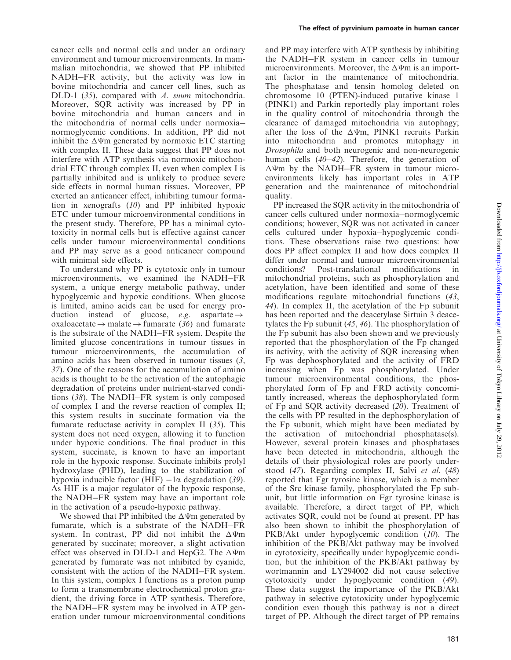cancer cells and normal cells and under an ordinary environment and tumour microenvironments. In mammalian mitochondria, we showed that PP inhibited NADH-FR activity, but the activity was low in bovine mitochondria and cancer cell lines, such as DLD-1 ([35](#page-12-0)), compared with A. suum mitochondria. Moreover, SQR activity was increased by PP in bovine mitochondria and human cancers and in the mitochondria of normal cells under normoxia normoglycemic conditions. In addition, PP did not inhibit the  $\Delta \Psi$ m generated by normoxic ETC starting with complex II. These data suggest that PP does not interfere with ATP synthesis via normoxic mitochondrial ETC through complex II, even when complex I is partially inhibited and is unlikely to produce severe side effects in normal human tissues. Moreover, PP exerted an anticancer effect, inhibiting tumour formation in xenografts ([10](#page-11-0)) and PP inhibited hypoxic ETC under tumour microenvironmental conditions in the present study. Therefore, PP has a minimal cytotoxicity in normal cells but is effective against cancer cells under tumour microenvironmental conditions and PP may serve as a good anticancer compound with minimal side effects.

To understand why PP is cytotoxic only in tumour microenvironments, we examined the NADH-FR system, a unique energy metabolic pathway, under hypoglycemic and hypoxic conditions. When glucose is limited, amino acids can be used for energy production instead of glucose, e.g. aspartate  $\rightarrow$ oxaloacetate  $\rightarrow$  malate  $\rightarrow$  fumarate ([36](#page-12-0)) and fumarate is the substrate of the NADH-FR system. Despite the limited glucose concentrations in tumour tissues in tumour microenvironments, the accumulation of amino acids has been observed in tumour tissues ([3](#page-11-0), [37](#page-12-0)). One of the reasons for the accumulation of amino acids is thought to be the activation of the autophagic degradation of proteins under nutrient-starved conditions ([38](#page-12-0)). The NADH-FR system is only composed of complex I and the reverse reaction of complex II; this system results in succinate formation via the fumarate reductase activity in complex II ([35](#page-12-0)). This system does not need oxygen, allowing it to function under hypoxic conditions. The final product in this system, succinate, is known to have an important role in the hypoxic response. Succinate inhibits prolyl hydroxylase (PHD), leading to the stabilization of hypoxia inducible factor (HIF)  $-1\alpha$  degradation ([39](#page-12-0)). As HIF is a major regulator of the hypoxic response, the NADH-FR system may have an important role in the activation of a pseudo-hypoxic pathway.

We showed that PP inhibited the  $\Delta \Psi$ m generated by fumarate, which is a substrate of the NADH-FR system. In contrast, PP did not inhibit the  $\Delta \Psi$ m generated by succinate; moreover, a slight activation effect was observed in DLD-1 and HepG2. The  $\Delta \Psi$ m generated by fumarate was not inhibited by cyanide, consistent with the action of the NADH-FR system. In this system, complex I functions as a proton pump to form a transmembrane electrochemical proton gradient, the driving force in ATP synthesis. Therefore, the NADH-FR system may be involved in ATP generation under tumour microenvironmental conditions and PP may interfere with ATP synthesis by inhibiting the NADH-FR system in cancer cells in tumour microenvironments. Moreover, the  $\Delta \Psi$ m is an important factor in the maintenance of mitochondria. The phosphatase and tensin homolog deleted on chromosome 10 (PTEN)-induced putative kinase 1 (PINK1) and Parkin reportedly play important roles in the quality control of mitochondria through the clearance of damaged mitochondria via autophagy; after the loss of the  $\Delta \Psi m$ , PINK1 recruits Parkin into mitochondria and promotes mitophagy in Drosophila and both neurogenic and non-neurogenic human cells ([40](#page-12-0)–[42](#page-12-0)). Therefore, the generation of  $\Delta \Psi$ m by the NADH-FR system in tumour microenvironments likely has important roles in ATP generation and the maintenance of mitochondrial quality.

PP increased the SQR activity in the mitochondria of cancer cells cultured under normoxia-normoglycemic conditions; however, SQR was not activated in cancer cells cultured under hypoxia-hypoglycemic conditions. These observations raise two questions: how does PP affect complex II and how does complex II differ under normal and tumour microenvironmental conditions? Post-translational modifications in mitochondrial proteins, such as phosphorylation and acetylation, have been identified and some of these modifications regulate mitochondrial functions ([43](#page-12-0), [44](#page-12-0)). In complex II, the acetylation of the Fp subunit has been reported and the deacetylase Sirtuin 3 deacetylates the Fp subunit ([45](#page-12-0), [46](#page-12-0)). The phosphorylation of the Fp subunit has also been shown and we previously reported that the phosphorylation of the Fp changed its activity, with the activity of SQR increasing when Fp was dephosphorylated and the activity of FRD increasing when Fp was phosphorylated. Under tumour microenvironmental conditions, the phosphorylated form of Fp and FRD activity concomitantly increased, whereas the dephosphorylated form of Fp and SQR activity decreased ([20](#page-11-0)). Treatment of the cells with PP resulted in the dephosphorylation of the Fp subunit, which might have been mediated by the activation of mitochondrial phosphatase(s). However, several protein kinases and phosphatases have been detected in mitochondria, although the details of their physiological roles are poorly understood ([47](#page-12-0)). Regarding complex II, Salvi et al. ([48](#page-12-0)) reported that Fgr tyrosine kinase, which is a member of the Src kinase family, phosphorylated the Fp subunit, but little information on Fgr tyrosine kinase is available. Therefore, a direct target of PP, which activates SQR, could not be found at present. PP has also been shown to inhibit the phosphorylation of PKB/Akt under hypoglycemic condition ([10](#page-11-0)). The inhibition of the PKB/Akt pathway may be involved in cytotoxicity, specifically under hypoglycemic condition, but the inhibition of the PKB/Akt pathway by wortmannin and LY294002 did not cause selective cytotoxicity under hypoglycemic condition ([49](#page-12-0)). These data suggest the importance of the PKB/Akt pathway in selective cytotoxicity under hypoglycemic condition even though this pathway is not a direct target of PP. Although the direct target of PP remains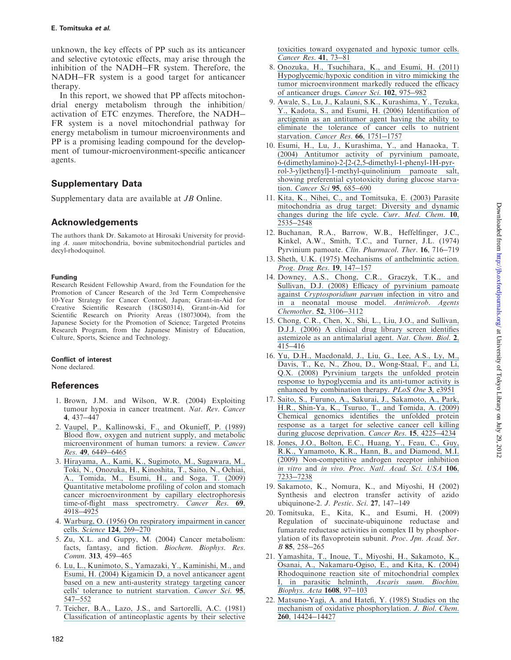<span id="page-11-0"></span>unknown, the key effects of PP such as its anticancer and selective cytotoxic effects, may arise through the inhibition of the NADH-FR system. Therefore, the NADH-FR system is a good target for anticancer therapy.

In this report, we showed that PP affects mitochondrial energy metabolism through the inhibition/ activation of ETC enzymes. Therefore, the NADH- FR system is a novel mitochondrial pathway for energy metabolism in tumour microenvironments and PP is a promising leading compound for the development of tumour-microenvironment-specific anticancer agents.

# Supplementary Data

Supplementary data are available at *JB* Online.

# Acknowledgements

The authors thank Dr. Sakamoto at Hirosaki University for providing A. suum mitochondria, bovine submitochondrial particles and decyl-rhodoquinol.

### Funding

Research Resident Fellowship Award, from the Foundation for the Promotion of Cancer Research of the 3rd Term Comprehensive 10-Year Strategy for Cancer Control, Japan; Grant-in-Aid for Creative Scientific Research (18GS0314), Grant-in-Aid for Scientific Research on Priority Areas (18073004), from the Japanese Society for the Promotion of Science; Targeted Proteins Research Program, from the Japanese Ministry of Education, Culture, Sports, Science and Technology.

### Conflict of interest

None declared.

## References

- 1. Brown, J.M. and Wilson, W.R. (2004) Exploiting tumour hypoxia in cancer treatment. Nat. Rev. Cancer 4, 437-447
- 2. [Vaupel, P., Kallinowski, F., and Okunieff, P. \(1989\)](https://www.researchgate.net/publication/20472627_Blood-Flow_Oxygen_and_Nutrient_Supply_and_Metabolic_Microenvironment_of_Human-Tumors_-_A_Review?el=1_x_8&enrichId=rgreq-7e05eb82-c45c-4e01-9f8d-ffa851b48301&enrichSource=Y292ZXJQYWdlOzIyNDgyMTIyMztBUzoxMjM3MTI3MTYxNTI4MzJAMTQwNjUwNjgxODY2OQ==) [Blood flow, oxygen and nutrient supply, and metabolic](https://www.researchgate.net/publication/20472627_Blood-Flow_Oxygen_and_Nutrient_Supply_and_Metabolic_Microenvironment_of_Human-Tumors_-_A_Review?el=1_x_8&enrichId=rgreq-7e05eb82-c45c-4e01-9f8d-ffa851b48301&enrichSource=Y292ZXJQYWdlOzIyNDgyMTIyMztBUzoxMjM3MTI3MTYxNTI4MzJAMTQwNjUwNjgxODY2OQ==) [microenvironment of human tumors: a review.](https://www.researchgate.net/publication/20472627_Blood-Flow_Oxygen_and_Nutrient_Supply_and_Metabolic_Microenvironment_of_Human-Tumors_-_A_Review?el=1_x_8&enrichId=rgreq-7e05eb82-c45c-4e01-9f8d-ffa851b48301&enrichSource=Y292ZXJQYWdlOzIyNDgyMTIyMztBUzoxMjM3MTI3MTYxNTI4MzJAMTQwNjUwNjgxODY2OQ==) Cancer Res. 49[, 6449](https://www.researchgate.net/publication/20472627_Blood-Flow_Oxygen_and_Nutrient_Supply_and_Metabolic_Microenvironment_of_Human-Tumors_-_A_Review?el=1_x_8&enrichId=rgreq-7e05eb82-c45c-4e01-9f8d-ffa851b48301&enrichSource=Y292ZXJQYWdlOzIyNDgyMTIyMztBUzoxMjM3MTI3MTYxNTI4MzJAMTQwNjUwNjgxODY2OQ==)-6465
- 3. [Hirayama, A., Kami, K., Sugimoto, M., Sugawara, M.,](https://www.researchgate.net/publication/24442289_Quantitative_Metabolome_Profiling_of_Colon_and_Stomach_Cancer_Microenvironment_by_Capillary_Electrophoresis_Time-of-Flight_Mass_Spectrometry?el=1_x_8&enrichId=rgreq-7e05eb82-c45c-4e01-9f8d-ffa851b48301&enrichSource=Y292ZXJQYWdlOzIyNDgyMTIyMztBUzoxMjM3MTI3MTYxNTI4MzJAMTQwNjUwNjgxODY2OQ==) [Toki, N., Onozuka, H., Kinoshita, T., Saito, N., Ochiai,](https://www.researchgate.net/publication/24442289_Quantitative_Metabolome_Profiling_of_Colon_and_Stomach_Cancer_Microenvironment_by_Capillary_Electrophoresis_Time-of-Flight_Mass_Spectrometry?el=1_x_8&enrichId=rgreq-7e05eb82-c45c-4e01-9f8d-ffa851b48301&enrichSource=Y292ZXJQYWdlOzIyNDgyMTIyMztBUzoxMjM3MTI3MTYxNTI4MzJAMTQwNjUwNjgxODY2OQ==) [A., Tomida, M., Esumi, H., and Soga, T. \(2009\)](https://www.researchgate.net/publication/24442289_Quantitative_Metabolome_Profiling_of_Colon_and_Stomach_Cancer_Microenvironment_by_Capillary_Electrophoresis_Time-of-Flight_Mass_Spectrometry?el=1_x_8&enrichId=rgreq-7e05eb82-c45c-4e01-9f8d-ffa851b48301&enrichSource=Y292ZXJQYWdlOzIyNDgyMTIyMztBUzoxMjM3MTI3MTYxNTI4MzJAMTQwNjUwNjgxODY2OQ==) [Quantitative metabolome profiling of colon and stomach](https://www.researchgate.net/publication/24442289_Quantitative_Metabolome_Profiling_of_Colon_and_Stomach_Cancer_Microenvironment_by_Capillary_Electrophoresis_Time-of-Flight_Mass_Spectrometry?el=1_x_8&enrichId=rgreq-7e05eb82-c45c-4e01-9f8d-ffa851b48301&enrichSource=Y292ZXJQYWdlOzIyNDgyMTIyMztBUzoxMjM3MTI3MTYxNTI4MzJAMTQwNjUwNjgxODY2OQ==) [cancer microenvironment by capillary electrophoresis](https://www.researchgate.net/publication/24442289_Quantitative_Metabolome_Profiling_of_Colon_and_Stomach_Cancer_Microenvironment_by_Capillary_Electrophoresis_Time-of-Flight_Mass_Spectrometry?el=1_x_8&enrichId=rgreq-7e05eb82-c45c-4e01-9f8d-ffa851b48301&enrichSource=Y292ZXJQYWdlOzIyNDgyMTIyMztBUzoxMjM3MTI3MTYxNTI4MzJAMTQwNjUwNjgxODY2OQ==) [time-of-flight mass spectrometry.](https://www.researchgate.net/publication/24442289_Quantitative_Metabolome_Profiling_of_Colon_and_Stomach_Cancer_Microenvironment_by_Capillary_Electrophoresis_Time-of-Flight_Mass_Spectrometry?el=1_x_8&enrichId=rgreq-7e05eb82-c45c-4e01-9f8d-ffa851b48301&enrichSource=Y292ZXJQYWdlOzIyNDgyMTIyMztBUzoxMjM3MTI3MTYxNTI4MzJAMTQwNjUwNjgxODY2OQ==) Cancer Res. 69, [4918](https://www.researchgate.net/publication/24442289_Quantitative_Metabolome_Profiling_of_Colon_and_Stomach_Cancer_Microenvironment_by_Capillary_Electrophoresis_Time-of-Flight_Mass_Spectrometry?el=1_x_8&enrichId=rgreq-7e05eb82-c45c-4e01-9f8d-ffa851b48301&enrichSource=Y292ZXJQYWdlOzIyNDgyMTIyMztBUzoxMjM3MTI3MTYxNTI4MzJAMTQwNjUwNjgxODY2OQ==)-4925
- 4. [Warburg, O. \(1956\) On respiratory impairment in cancer](https://www.researchgate.net/publication/285807032_On_respiratory_impairment_in_cancer_cells?el=1_x_8&enrichId=rgreq-7e05eb82-c45c-4e01-9f8d-ffa851b48301&enrichSource=Y292ZXJQYWdlOzIyNDgyMTIyMztBUzoxMjM3MTI3MTYxNTI4MzJAMTQwNjUwNjgxODY2OQ==) cells. [Science](https://www.researchgate.net/publication/285807032_On_respiratory_impairment_in_cancer_cells?el=1_x_8&enrichId=rgreq-7e05eb82-c45c-4e01-9f8d-ffa851b48301&enrichSource=Y292ZXJQYWdlOzIyNDgyMTIyMztBUzoxMjM3MTI3MTYxNTI4MzJAMTQwNjUwNjgxODY2OQ==) 124, 269-270
- 5. Zu, X.L. and Guppy, M. (2004) Cancer metabolism: facts, fantasy, and fiction. Biochem. Biophys. Res. Comm. 313, 459-465
- 6. [Lu, L., Kunimoto, S., Yamazaki, Y., Kaminishi, M., and](https://www.researchgate.net/publication/295411581_Kigamicin_D_a_novel_anticancer_agent_based_on_a_new_anti-austerity_strategy_targeting_cancer_cell) [Esumi, H. \(2004\) Kigamicin D, a novel anticancer agent](https://www.researchgate.net/publication/295411581_Kigamicin_D_a_novel_anticancer_agent_based_on_a_new_anti-austerity_strategy_targeting_cancer_cell) [based on a new anti-austerity strategy targeting cancer](https://www.researchgate.net/publication/295411581_Kigamicin_D_a_novel_anticancer_agent_based_on_a_new_anti-austerity_strategy_targeting_cancer_cell) [cells' tolerance to nutrient starvation.](https://www.researchgate.net/publication/295411581_Kigamicin_D_a_novel_anticancer_agent_based_on_a_new_anti-austerity_strategy_targeting_cancer_cell) Cancer Sci. 95, [547](https://www.researchgate.net/publication/295411581_Kigamicin_D_a_novel_anticancer_agent_based_on_a_new_anti-austerity_strategy_targeting_cancer_cell)-552
- 7. [Teicher, B.A., Lazo, J.S., and Sartorelli, A.C. \(1981\)](https://www.researchgate.net/publication/15749879_Teicher_BA_Lazo_JS_Sartorelli_ACClassification_of_antineoplastic_agents_by_their_selective_toxicities_toward_oxygenated_and_hypoxic_tumor_cells_Cancer_Res_41_73-81?el=1_x_8&enrichId=rgreq-7e05eb82-c45c-4e01-9f8d-ffa851b48301&enrichSource=Y292ZXJQYWdlOzIyNDgyMTIyMztBUzoxMjM3MTI3MTYxNTI4MzJAMTQwNjUwNjgxODY2OQ==) [Classification of antineoplastic agents by their selective](https://www.researchgate.net/publication/15749879_Teicher_BA_Lazo_JS_Sartorelli_ACClassification_of_antineoplastic_agents_by_their_selective_toxicities_toward_oxygenated_and_hypoxic_tumor_cells_Cancer_Res_41_73-81?el=1_x_8&enrichId=rgreq-7e05eb82-c45c-4e01-9f8d-ffa851b48301&enrichSource=Y292ZXJQYWdlOzIyNDgyMTIyMztBUzoxMjM3MTI3MTYxNTI4MzJAMTQwNjUwNjgxODY2OQ==)

[toxicities toward oxygenated and hypoxic tumor cells.](https://www.researchgate.net/publication/15749879_Teicher_BA_Lazo_JS_Sartorelli_ACClassification_of_antineoplastic_agents_by_their_selective_toxicities_toward_oxygenated_and_hypoxic_tumor_cells_Cancer_Res_41_73-81?el=1_x_8&enrichId=rgreq-7e05eb82-c45c-4e01-9f8d-ffa851b48301&enrichSource=Y292ZXJQYWdlOzIyNDgyMTIyMztBUzoxMjM3MTI3MTYxNTI4MzJAMTQwNjUwNjgxODY2OQ==) [Cancer Res.](https://www.researchgate.net/publication/15749879_Teicher_BA_Lazo_JS_Sartorelli_ACClassification_of_antineoplastic_agents_by_their_selective_toxicities_toward_oxygenated_and_hypoxic_tumor_cells_Cancer_Res_41_73-81?el=1_x_8&enrichId=rgreq-7e05eb82-c45c-4e01-9f8d-ffa851b48301&enrichSource=Y292ZXJQYWdlOzIyNDgyMTIyMztBUzoxMjM3MTI3MTYxNTI4MzJAMTQwNjUwNjgxODY2OQ==) 41, 73-81

- 8. [Onozuka, H., Tsuchihara, K., and Esumi, H. \(2011\)](https://www.researchgate.net/publication/49774572_Hypoglycemichypoxic_condition_in_vitro_mimicking_the_tumor_microenvironment_markedly_reduced_the_efficacy_of_anticancer_drugs?el=1_x_8&enrichId=rgreq-7e05eb82-c45c-4e01-9f8d-ffa851b48301&enrichSource=Y292ZXJQYWdlOzIyNDgyMTIyMztBUzoxMjM3MTI3MTYxNTI4MzJAMTQwNjUwNjgxODY2OQ==) [Hypoglycemic/hypoxic condition in vitro mimicking the](https://www.researchgate.net/publication/49774572_Hypoglycemichypoxic_condition_in_vitro_mimicking_the_tumor_microenvironment_markedly_reduced_the_efficacy_of_anticancer_drugs?el=1_x_8&enrichId=rgreq-7e05eb82-c45c-4e01-9f8d-ffa851b48301&enrichSource=Y292ZXJQYWdlOzIyNDgyMTIyMztBUzoxMjM3MTI3MTYxNTI4MzJAMTQwNjUwNjgxODY2OQ==) [tumor microenvironment markedly reduced the efficacy](https://www.researchgate.net/publication/49774572_Hypoglycemichypoxic_condition_in_vitro_mimicking_the_tumor_microenvironment_markedly_reduced_the_efficacy_of_anticancer_drugs?el=1_x_8&enrichId=rgreq-7e05eb82-c45c-4e01-9f8d-ffa851b48301&enrichSource=Y292ZXJQYWdlOzIyNDgyMTIyMztBUzoxMjM3MTI3MTYxNTI4MzJAMTQwNjUwNjgxODY2OQ==) [of anticancer drugs.](https://www.researchgate.net/publication/49774572_Hypoglycemichypoxic_condition_in_vitro_mimicking_the_tumor_microenvironment_markedly_reduced_the_efficacy_of_anticancer_drugs?el=1_x_8&enrichId=rgreq-7e05eb82-c45c-4e01-9f8d-ffa851b48301&enrichSource=Y292ZXJQYWdlOzIyNDgyMTIyMztBUzoxMjM3MTI3MTYxNTI4MzJAMTQwNjUwNjgxODY2OQ==) Cancer Sci. 102, 975-982
- 9. [Awale, S., Lu, J., Kalauni, S.K., Kurashima, Y., Tezuka,](https://www.researchgate.net/publication/7322317_Identification_of_Arctigenin_as_an_Antitumor_Agent_Having_the_Ability_to_Eliminate_the_Tolerance_of_Cancer_Cells_to_Nutrient_Starvation?el=1_x_8&enrichId=rgreq-7e05eb82-c45c-4e01-9f8d-ffa851b48301&enrichSource=Y292ZXJQYWdlOzIyNDgyMTIyMztBUzoxMjM3MTI3MTYxNTI4MzJAMTQwNjUwNjgxODY2OQ==) [Y., Kadota, S., and Esumi, H. \(2006\) Identification of](https://www.researchgate.net/publication/7322317_Identification_of_Arctigenin_as_an_Antitumor_Agent_Having_the_Ability_to_Eliminate_the_Tolerance_of_Cancer_Cells_to_Nutrient_Starvation?el=1_x_8&enrichId=rgreq-7e05eb82-c45c-4e01-9f8d-ffa851b48301&enrichSource=Y292ZXJQYWdlOzIyNDgyMTIyMztBUzoxMjM3MTI3MTYxNTI4MzJAMTQwNjUwNjgxODY2OQ==) [arctigenin as an antitumor agent having the ability to](https://www.researchgate.net/publication/7322317_Identification_of_Arctigenin_as_an_Antitumor_Agent_Having_the_Ability_to_Eliminate_the_Tolerance_of_Cancer_Cells_to_Nutrient_Starvation?el=1_x_8&enrichId=rgreq-7e05eb82-c45c-4e01-9f8d-ffa851b48301&enrichSource=Y292ZXJQYWdlOzIyNDgyMTIyMztBUzoxMjM3MTI3MTYxNTI4MzJAMTQwNjUwNjgxODY2OQ==) [eliminate the tolerance of cancer cells to nutrient](https://www.researchgate.net/publication/7322317_Identification_of_Arctigenin_as_an_Antitumor_Agent_Having_the_Ability_to_Eliminate_the_Tolerance_of_Cancer_Cells_to_Nutrient_Starvation?el=1_x_8&enrichId=rgreq-7e05eb82-c45c-4e01-9f8d-ffa851b48301&enrichSource=Y292ZXJQYWdlOzIyNDgyMTIyMztBUzoxMjM3MTI3MTYxNTI4MzJAMTQwNjUwNjgxODY2OQ==) starvation. [Cancer Res.](https://www.researchgate.net/publication/7322317_Identification_of_Arctigenin_as_an_Antitumor_Agent_Having_the_Ability_to_Eliminate_the_Tolerance_of_Cancer_Cells_to_Nutrient_Starvation?el=1_x_8&enrichId=rgreq-7e05eb82-c45c-4e01-9f8d-ffa851b48301&enrichSource=Y292ZXJQYWdlOzIyNDgyMTIyMztBUzoxMjM3MTI3MTYxNTI4MzJAMTQwNjUwNjgxODY2OQ==) **66**, 1751-1757
- 10. [Esumi, H., Lu, J., Kurashima, Y., and Hanaoka, T.](https://www.researchgate.net/publication/8411862_Antitumor_activity_of_pyrvinium_pamoate_6-dimethylamino-2-2-25-dimethyl-1-phenyl-1H-pyrrol-3-ylethenyl-1-methyl-quinolinium_pamoate_salt_showing_preferential_cytotoxicity_during_glucose_starvation?el=1_x_8&enrichId=rgreq-7e05eb82-c45c-4e01-9f8d-ffa851b48301&enrichSource=Y292ZXJQYWdlOzIyNDgyMTIyMztBUzoxMjM3MTI3MTYxNTI4MzJAMTQwNjUwNjgxODY2OQ==) [\(2004\) Antitumor activity of pyrvinium pamoate,](https://www.researchgate.net/publication/8411862_Antitumor_activity_of_pyrvinium_pamoate_6-dimethylamino-2-2-25-dimethyl-1-phenyl-1H-pyrrol-3-ylethenyl-1-methyl-quinolinium_pamoate_salt_showing_preferential_cytotoxicity_during_glucose_starvation?el=1_x_8&enrichId=rgreq-7e05eb82-c45c-4e01-9f8d-ffa851b48301&enrichSource=Y292ZXJQYWdlOzIyNDgyMTIyMztBUzoxMjM3MTI3MTYxNTI4MzJAMTQwNjUwNjgxODY2OQ==) [6-\(dimethylamino\)-2-\[2-\(2,5-dimethyl-1-phenyl-1H-pyr](https://www.researchgate.net/publication/8411862_Antitumor_activity_of_pyrvinium_pamoate_6-dimethylamino-2-2-25-dimethyl-1-phenyl-1H-pyrrol-3-ylethenyl-1-methyl-quinolinium_pamoate_salt_showing_preferential_cytotoxicity_during_glucose_starvation?el=1_x_8&enrichId=rgreq-7e05eb82-c45c-4e01-9f8d-ffa851b48301&enrichSource=Y292ZXJQYWdlOzIyNDgyMTIyMztBUzoxMjM3MTI3MTYxNTI4MzJAMTQwNjUwNjgxODY2OQ==)[rol-3-yl\)ethenyl\]-1-methyl-quinolinium pamoate salt,](https://www.researchgate.net/publication/8411862_Antitumor_activity_of_pyrvinium_pamoate_6-dimethylamino-2-2-25-dimethyl-1-phenyl-1H-pyrrol-3-ylethenyl-1-methyl-quinolinium_pamoate_salt_showing_preferential_cytotoxicity_during_glucose_starvation?el=1_x_8&enrichId=rgreq-7e05eb82-c45c-4e01-9f8d-ffa851b48301&enrichSource=Y292ZXJQYWdlOzIyNDgyMTIyMztBUzoxMjM3MTI3MTYxNTI4MzJAMTQwNjUwNjgxODY2OQ==) [showing preferential cytotoxicity during glucose starva-](https://www.researchgate.net/publication/8411862_Antitumor_activity_of_pyrvinium_pamoate_6-dimethylamino-2-2-25-dimethyl-1-phenyl-1H-pyrrol-3-ylethenyl-1-methyl-quinolinium_pamoate_salt_showing_preferential_cytotoxicity_during_glucose_starvation?el=1_x_8&enrichId=rgreq-7e05eb82-c45c-4e01-9f8d-ffa851b48301&enrichSource=Y292ZXJQYWdlOzIyNDgyMTIyMztBUzoxMjM3MTI3MTYxNTI4MzJAMTQwNjUwNjgxODY2OQ==)tion. [Cancer Sci](https://www.researchgate.net/publication/8411862_Antitumor_activity_of_pyrvinium_pamoate_6-dimethylamino-2-2-25-dimethyl-1-phenyl-1H-pyrrol-3-ylethenyl-1-methyl-quinolinium_pamoate_salt_showing_preferential_cytotoxicity_during_glucose_starvation?el=1_x_8&enrichId=rgreq-7e05eb82-c45c-4e01-9f8d-ffa851b48301&enrichSource=Y292ZXJQYWdlOzIyNDgyMTIyMztBUzoxMjM3MTI3MTYxNTI4MzJAMTQwNjUwNjgxODY2OQ==) 95, 685-690
- 11. [Kita, K., Nihei, C., and Tomitsuka, E. \(2003\) Parasite](https://www.researchgate.net/publication/5587160_Parasite_Mitochondria_as_Drug_Target_Diversity_and_Dynamic_Changes_During_the_Life_Cycle?el=1_x_8&enrichId=rgreq-7e05eb82-c45c-4e01-9f8d-ffa851b48301&enrichSource=Y292ZXJQYWdlOzIyNDgyMTIyMztBUzoxMjM3MTI3MTYxNTI4MzJAMTQwNjUwNjgxODY2OQ==) [mitochondria as drug target: Diversity and dynamic](https://www.researchgate.net/publication/5587160_Parasite_Mitochondria_as_Drug_Target_Diversity_and_Dynamic_Changes_During_the_Life_Cycle?el=1_x_8&enrichId=rgreq-7e05eb82-c45c-4e01-9f8d-ffa851b48301&enrichSource=Y292ZXJQYWdlOzIyNDgyMTIyMztBUzoxMjM3MTI3MTYxNTI4MzJAMTQwNjUwNjgxODY2OQ==) [changes during the life cycle.](https://www.researchgate.net/publication/5587160_Parasite_Mitochondria_as_Drug_Target_Diversity_and_Dynamic_Changes_During_the_Life_Cycle?el=1_x_8&enrichId=rgreq-7e05eb82-c45c-4e01-9f8d-ffa851b48301&enrichSource=Y292ZXJQYWdlOzIyNDgyMTIyMztBUzoxMjM3MTI3MTYxNTI4MzJAMTQwNjUwNjgxODY2OQ==) Curr. Med. Chem. 10, [2535](https://www.researchgate.net/publication/5587160_Parasite_Mitochondria_as_Drug_Target_Diversity_and_Dynamic_Changes_During_the_Life_Cycle?el=1_x_8&enrichId=rgreq-7e05eb82-c45c-4e01-9f8d-ffa851b48301&enrichSource=Y292ZXJQYWdlOzIyNDgyMTIyMztBUzoxMjM3MTI3MTYxNTI4MzJAMTQwNjUwNjgxODY2OQ==)-2548
- 12. Buchanan, R.A., Barrow, W.B., Heffelfinger, J.C., Kinkel, A.W., Smith, T.C., and Turner, J.L. (1974) Pyrvinium pamoate. Clin. Pharmacol. Ther. 16, 716-719
- 13. [Sheth, U.K. \(1975\) Mechanisms of anthelmintic action.](https://www.researchgate.net/publication/22375813_Mechanisms_of_Anthelmintic_Action?el=1_x_8&enrichId=rgreq-7e05eb82-c45c-4e01-9f8d-ffa851b48301&enrichSource=Y292ZXJQYWdlOzIyNDgyMTIyMztBUzoxMjM3MTI3MTYxNTI4MzJAMTQwNjUwNjgxODY2OQ==) Prog. [Drug Res.](https://www.researchgate.net/publication/22375813_Mechanisms_of_Anthelmintic_Action?el=1_x_8&enrichId=rgreq-7e05eb82-c45c-4e01-9f8d-ffa851b48301&enrichSource=Y292ZXJQYWdlOzIyNDgyMTIyMztBUzoxMjM3MTI3MTYxNTI4MzJAMTQwNjUwNjgxODY2OQ==) 19, 147-157
- 14. [Downey, A.S., Chong, C.R., Graczyk, T.K., and](https://www.researchgate.net/publication/5260789_Efficacy_of_Pyrvinium_Pamoate_against_Cryptosporidium_parvum_Infection_In_Vitro_and_in_a_Neonatal_Mouse_Model?el=1_x_8&enrichId=rgreq-7e05eb82-c45c-4e01-9f8d-ffa851b48301&enrichSource=Y292ZXJQYWdlOzIyNDgyMTIyMztBUzoxMjM3MTI3MTYxNTI4MzJAMTQwNjUwNjgxODY2OQ==) [Sullivan, D.J. \(2008\) Efficacy of pyrvinium pamoate](https://www.researchgate.net/publication/5260789_Efficacy_of_Pyrvinium_Pamoate_against_Cryptosporidium_parvum_Infection_In_Vitro_and_in_a_Neonatal_Mouse_Model?el=1_x_8&enrichId=rgreq-7e05eb82-c45c-4e01-9f8d-ffa851b48301&enrichSource=Y292ZXJQYWdlOzIyNDgyMTIyMztBUzoxMjM3MTI3MTYxNTI4MzJAMTQwNjUwNjgxODY2OQ==) against [Cryptosporidium parvum](https://www.researchgate.net/publication/5260789_Efficacy_of_Pyrvinium_Pamoate_against_Cryptosporidium_parvum_Infection_In_Vitro_and_in_a_Neonatal_Mouse_Model?el=1_x_8&enrichId=rgreq-7e05eb82-c45c-4e01-9f8d-ffa851b48301&enrichSource=Y292ZXJQYWdlOzIyNDgyMTIyMztBUzoxMjM3MTI3MTYxNTI4MzJAMTQwNjUwNjgxODY2OQ==) infection in vitro and [in a neonatal mouse model.](https://www.researchgate.net/publication/5260789_Efficacy_of_Pyrvinium_Pamoate_against_Cryptosporidium_parvum_Infection_In_Vitro_and_in_a_Neonatal_Mouse_Model?el=1_x_8&enrichId=rgreq-7e05eb82-c45c-4e01-9f8d-ffa851b48301&enrichSource=Y292ZXJQYWdlOzIyNDgyMTIyMztBUzoxMjM3MTI3MTYxNTI4MzJAMTQwNjUwNjgxODY2OQ==) Antimicrob. Agents [Chemother.](https://www.researchgate.net/publication/5260789_Efficacy_of_Pyrvinium_Pamoate_against_Cryptosporidium_parvum_Infection_In_Vitro_and_in_a_Neonatal_Mouse_Model?el=1_x_8&enrichId=rgreq-7e05eb82-c45c-4e01-9f8d-ffa851b48301&enrichSource=Y292ZXJQYWdlOzIyNDgyMTIyMztBUzoxMjM3MTI3MTYxNTI4MzJAMTQwNjUwNjgxODY2OQ==) 52, 3106-3112
- 15. [Chong, C.R., Chen, X., Shi, L., Liu, J.O., and Sullivan,](https://www.researchgate.net/publication/6967711_A_clinical_drug_library_screen_identifies_astemizole_as_an_antimalarial_agent?el=1_x_8&enrichId=rgreq-7e05eb82-c45c-4e01-9f8d-ffa851b48301&enrichSource=Y292ZXJQYWdlOzIyNDgyMTIyMztBUzoxMjM3MTI3MTYxNTI4MzJAMTQwNjUwNjgxODY2OQ==) [D.J.J. \(2006\) A clinical drug library screen identifies](https://www.researchgate.net/publication/6967711_A_clinical_drug_library_screen_identifies_astemizole_as_an_antimalarial_agent?el=1_x_8&enrichId=rgreq-7e05eb82-c45c-4e01-9f8d-ffa851b48301&enrichSource=Y292ZXJQYWdlOzIyNDgyMTIyMztBUzoxMjM3MTI3MTYxNTI4MzJAMTQwNjUwNjgxODY2OQ==) [astemizole as an antimalarial agent.](https://www.researchgate.net/publication/6967711_A_clinical_drug_library_screen_identifies_astemizole_as_an_antimalarial_agent?el=1_x_8&enrichId=rgreq-7e05eb82-c45c-4e01-9f8d-ffa851b48301&enrichSource=Y292ZXJQYWdlOzIyNDgyMTIyMztBUzoxMjM3MTI3MTYxNTI4MzJAMTQwNjUwNjgxODY2OQ==) Nat. Chem. Biol. 2, 415-[416](https://www.researchgate.net/publication/6967711_A_clinical_drug_library_screen_identifies_astemizole_as_an_antimalarial_agent?el=1_x_8&enrichId=rgreq-7e05eb82-c45c-4e01-9f8d-ffa851b48301&enrichSource=Y292ZXJQYWdlOzIyNDgyMTIyMztBUzoxMjM3MTI3MTYxNTI4MzJAMTQwNjUwNjgxODY2OQ==)
- 16. [Yu, D.H., Macdonald, J., Liu, G., Lee, A.S., Ly, M.,](https://www.researchgate.net/publication/23660442_Pyrvinium_Targets_the_Unfolded_Protein_Response_to_Hypoglycemia_and_Its_Anti-Tumor_Activity_Is_Enhanced_by_Combination_Therapy?el=1_x_8&enrichId=rgreq-7e05eb82-c45c-4e01-9f8d-ffa851b48301&enrichSource=Y292ZXJQYWdlOzIyNDgyMTIyMztBUzoxMjM3MTI3MTYxNTI4MzJAMTQwNjUwNjgxODY2OQ==) [Davis, T., Ke, N., Zhou, D., Wong-Staal, F., and Li,](https://www.researchgate.net/publication/23660442_Pyrvinium_Targets_the_Unfolded_Protein_Response_to_Hypoglycemia_and_Its_Anti-Tumor_Activity_Is_Enhanced_by_Combination_Therapy?el=1_x_8&enrichId=rgreq-7e05eb82-c45c-4e01-9f8d-ffa851b48301&enrichSource=Y292ZXJQYWdlOzIyNDgyMTIyMztBUzoxMjM3MTI3MTYxNTI4MzJAMTQwNjUwNjgxODY2OQ==) [Q.X. \(2008\) Pyrvinium targets the unfolded protein](https://www.researchgate.net/publication/23660442_Pyrvinium_Targets_the_Unfolded_Protein_Response_to_Hypoglycemia_and_Its_Anti-Tumor_Activity_Is_Enhanced_by_Combination_Therapy?el=1_x_8&enrichId=rgreq-7e05eb82-c45c-4e01-9f8d-ffa851b48301&enrichSource=Y292ZXJQYWdlOzIyNDgyMTIyMztBUzoxMjM3MTI3MTYxNTI4MzJAMTQwNjUwNjgxODY2OQ==) [response to hypoglycemia and its anti-tumor activity is](https://www.researchgate.net/publication/23660442_Pyrvinium_Targets_the_Unfolded_Protein_Response_to_Hypoglycemia_and_Its_Anti-Tumor_Activity_Is_Enhanced_by_Combination_Therapy?el=1_x_8&enrichId=rgreq-7e05eb82-c45c-4e01-9f8d-ffa851b48301&enrichSource=Y292ZXJQYWdlOzIyNDgyMTIyMztBUzoxMjM3MTI3MTYxNTI4MzJAMTQwNjUwNjgxODY2OQ==) [enhanced by combination therapy.](https://www.researchgate.net/publication/23660442_Pyrvinium_Targets_the_Unfolded_Protein_Response_to_Hypoglycemia_and_Its_Anti-Tumor_Activity_Is_Enhanced_by_Combination_Therapy?el=1_x_8&enrichId=rgreq-7e05eb82-c45c-4e01-9f8d-ffa851b48301&enrichSource=Y292ZXJQYWdlOzIyNDgyMTIyMztBUzoxMjM3MTI3MTYxNTI4MzJAMTQwNjUwNjgxODY2OQ==) PLoS One 3, e3951
- 17. [Saito, S., Furuno, A., Sakurai, J., Sakamoto, A., Park,](https://www.researchgate.net/publication/24421358_Chemical_Genomics_Identifies_the_Unfolded_Protein_Response_as_a_Target_for_Selective_Cancer_Cell_Killing_during_Glucose_Deprivation?el=1_x_8&enrichId=rgreq-7e05eb82-c45c-4e01-9f8d-ffa851b48301&enrichSource=Y292ZXJQYWdlOzIyNDgyMTIyMztBUzoxMjM3MTI3MTYxNTI4MzJAMTQwNjUwNjgxODY2OQ==) [H.R., Shin-Ya, K., Tsuruo, T., and Tomida, A. \(2009\)](https://www.researchgate.net/publication/24421358_Chemical_Genomics_Identifies_the_Unfolded_Protein_Response_as_a_Target_for_Selective_Cancer_Cell_Killing_during_Glucose_Deprivation?el=1_x_8&enrichId=rgreq-7e05eb82-c45c-4e01-9f8d-ffa851b48301&enrichSource=Y292ZXJQYWdlOzIyNDgyMTIyMztBUzoxMjM3MTI3MTYxNTI4MzJAMTQwNjUwNjgxODY2OQ==) [Chemical genomics identifies the unfolded protein](https://www.researchgate.net/publication/24421358_Chemical_Genomics_Identifies_the_Unfolded_Protein_Response_as_a_Target_for_Selective_Cancer_Cell_Killing_during_Glucose_Deprivation?el=1_x_8&enrichId=rgreq-7e05eb82-c45c-4e01-9f8d-ffa851b48301&enrichSource=Y292ZXJQYWdlOzIyNDgyMTIyMztBUzoxMjM3MTI3MTYxNTI4MzJAMTQwNjUwNjgxODY2OQ==) [response as a target for selective cancer cell killing](https://www.researchgate.net/publication/24421358_Chemical_Genomics_Identifies_the_Unfolded_Protein_Response_as_a_Target_for_Selective_Cancer_Cell_Killing_during_Glucose_Deprivation?el=1_x_8&enrichId=rgreq-7e05eb82-c45c-4e01-9f8d-ffa851b48301&enrichSource=Y292ZXJQYWdlOzIyNDgyMTIyMztBUzoxMjM3MTI3MTYxNTI4MzJAMTQwNjUwNjgxODY2OQ==) [during glucose deprivation.](https://www.researchgate.net/publication/24421358_Chemical_Genomics_Identifies_the_Unfolded_Protein_Response_as_a_Target_for_Selective_Cancer_Cell_Killing_during_Glucose_Deprivation?el=1_x_8&enrichId=rgreq-7e05eb82-c45c-4e01-9f8d-ffa851b48301&enrichSource=Y292ZXJQYWdlOzIyNDgyMTIyMztBUzoxMjM3MTI3MTYxNTI4MzJAMTQwNjUwNjgxODY2OQ==) Cancer Res. 15, 4225-4234
- 18. [Jones, J.O., Bolton, E.C., Huang, Y., Feau, C., Guy,](https://www.researchgate.net/publication/24274534_Non-competitive_androgen_receptor_inhibition_in_vitro_and_in_vivo?el=1_x_8&enrichId=rgreq-7e05eb82-c45c-4e01-9f8d-ffa851b48301&enrichSource=Y292ZXJQYWdlOzIyNDgyMTIyMztBUzoxMjM3MTI3MTYxNTI4MzJAMTQwNjUwNjgxODY2OQ==) [R.K., Yamamoto, K.R., Hann, B., and Diamond, M.I.](https://www.researchgate.net/publication/24274534_Non-competitive_androgen_receptor_inhibition_in_vitro_and_in_vivo?el=1_x_8&enrichId=rgreq-7e05eb82-c45c-4e01-9f8d-ffa851b48301&enrichSource=Y292ZXJQYWdlOzIyNDgyMTIyMztBUzoxMjM3MTI3MTYxNTI4MzJAMTQwNjUwNjgxODY2OQ==) [\(2009\) Non-competitive androgen receptor inhibition](https://www.researchgate.net/publication/24274534_Non-competitive_androgen_receptor_inhibition_in_vitro_and_in_vivo?el=1_x_8&enrichId=rgreq-7e05eb82-c45c-4e01-9f8d-ffa851b48301&enrichSource=Y292ZXJQYWdlOzIyNDgyMTIyMztBUzoxMjM3MTI3MTYxNTI4MzJAMTQwNjUwNjgxODY2OQ==) in vitro and in vivo. [Proc. Natl. Acad. Sci. USA](https://www.researchgate.net/publication/24274534_Non-competitive_androgen_receptor_inhibition_in_vitro_and_in_vivo?el=1_x_8&enrichId=rgreq-7e05eb82-c45c-4e01-9f8d-ffa851b48301&enrichSource=Y292ZXJQYWdlOzIyNDgyMTIyMztBUzoxMjM3MTI3MTYxNTI4MzJAMTQwNjUwNjgxODY2OQ==) 106, [7233](https://www.researchgate.net/publication/24274534_Non-competitive_androgen_receptor_inhibition_in_vitro_and_in_vivo?el=1_x_8&enrichId=rgreq-7e05eb82-c45c-4e01-9f8d-ffa851b48301&enrichSource=Y292ZXJQYWdlOzIyNDgyMTIyMztBUzoxMjM3MTI3MTYxNTI4MzJAMTQwNjUwNjgxODY2OQ==)-7238
- 19. Sakamoto, K., Nomura, K., and Miyoshi, H (2002) Synthesis and electron transfer activity of azido ubiquinone-2. J. Pestic. Sci. 27, 147-149
- 20. Tomitsuka, E., Kita, K., and Esumi, H. (2009) Regulation of succinate-ubiquinone reductase and fumarate reductase activities in complex II by phosphorylation of its flavoprotein subunit. Proc. Jpn. Acad. Ser. B 85, 258-265
- 21. [Yamashita, T., Inoue, T., Miyoshi, H., Sakamoto, K.,](https://www.researchgate.net/publication/8779813_Rhodoquinone_reaction_site_of_mitochondrial_complex_I_in_parasitic_helminth_Ascaris_suum?el=1_x_8&enrichId=rgreq-7e05eb82-c45c-4e01-9f8d-ffa851b48301&enrichSource=Y292ZXJQYWdlOzIyNDgyMTIyMztBUzoxMjM3MTI3MTYxNTI4MzJAMTQwNjUwNjgxODY2OQ==) [Osanai, A., Nakamaru-Ogiso, E., and Kita, K. \(2004\)](https://www.researchgate.net/publication/8779813_Rhodoquinone_reaction_site_of_mitochondrial_complex_I_in_parasitic_helminth_Ascaris_suum?el=1_x_8&enrichId=rgreq-7e05eb82-c45c-4e01-9f8d-ffa851b48301&enrichSource=Y292ZXJQYWdlOzIyNDgyMTIyMztBUzoxMjM3MTI3MTYxNTI4MzJAMTQwNjUwNjgxODY2OQ==) [Rhodoquinone reaction site of mitochondrial complex](https://www.researchgate.net/publication/8779813_Rhodoquinone_reaction_site_of_mitochondrial_complex_I_in_parasitic_helminth_Ascaris_suum?el=1_x_8&enrichId=rgreq-7e05eb82-c45c-4e01-9f8d-ffa851b48301&enrichSource=Y292ZXJQYWdlOzIyNDgyMTIyMztBUzoxMjM3MTI3MTYxNTI4MzJAMTQwNjUwNjgxODY2OQ==) [I, in parasitic helminth,](https://www.researchgate.net/publication/8779813_Rhodoquinone_reaction_site_of_mitochondrial_complex_I_in_parasitic_helminth_Ascaris_suum?el=1_x_8&enrichId=rgreq-7e05eb82-c45c-4e01-9f8d-ffa851b48301&enrichSource=Y292ZXJQYWdlOzIyNDgyMTIyMztBUzoxMjM3MTI3MTYxNTI4MzJAMTQwNjUwNjgxODY2OQ==) Ascaris suum. Biochim. [Biophys. Acta](https://www.researchgate.net/publication/8779813_Rhodoquinone_reaction_site_of_mitochondrial_complex_I_in_parasitic_helminth_Ascaris_suum?el=1_x_8&enrichId=rgreq-7e05eb82-c45c-4e01-9f8d-ffa851b48301&enrichSource=Y292ZXJQYWdlOzIyNDgyMTIyMztBUzoxMjM3MTI3MTYxNTI4MzJAMTQwNjUwNjgxODY2OQ==) 1608, 97-103
- 22. [Matsuno-Yagi, A. and Hatefi, Y. \(1985\) Studies on the](https://www.researchgate.net/publication/20913166_Studies_on_the_mechanism_of_oxidative_phosphorylation_ADP_promotion_of_GDP_phosphorylation?el=1_x_8&enrichId=rgreq-7e05eb82-c45c-4e01-9f8d-ffa851b48301&enrichSource=Y292ZXJQYWdlOzIyNDgyMTIyMztBUzoxMjM3MTI3MTYxNTI4MzJAMTQwNjUwNjgxODY2OQ==) [mechanism of oxidative phosphorylation.](https://www.researchgate.net/publication/20913166_Studies_on_the_mechanism_of_oxidative_phosphorylation_ADP_promotion_of_GDP_phosphorylation?el=1_x_8&enrichId=rgreq-7e05eb82-c45c-4e01-9f8d-ffa851b48301&enrichSource=Y292ZXJQYWdlOzIyNDgyMTIyMztBUzoxMjM3MTI3MTYxNTI4MzJAMTQwNjUwNjgxODY2OQ==) J. Biol. Chem. 260[, 14424](https://www.researchgate.net/publication/20913166_Studies_on_the_mechanism_of_oxidative_phosphorylation_ADP_promotion_of_GDP_phosphorylation?el=1_x_8&enrichId=rgreq-7e05eb82-c45c-4e01-9f8d-ffa851b48301&enrichSource=Y292ZXJQYWdlOzIyNDgyMTIyMztBUzoxMjM3MTI3MTYxNTI4MzJAMTQwNjUwNjgxODY2OQ==)-14427